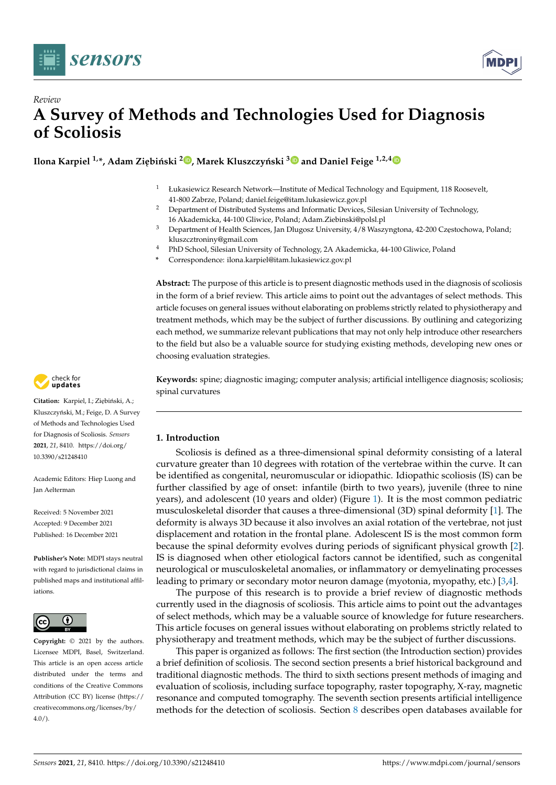



# *Review* **A Survey of Methods and Technologies Used for Diagnosis of Scoliosis**

 ${\bf N}$ Ilona Karpiel  $^{1,\ast}$ , Adam Ziębiński  $^{2}$  $^{2}$  $^{2}$   $\bullet$ , Marek Kluszczyński  $^{3}$  $^{3}$  $^{3}$   $\bullet$  and Daniel Feige  $^{1,2,4}$  $^{1,2,4}$  $^{1,2,4}$ 

- <sup>1</sup> Łukasiewicz Research Network—Institute of Medical Technology and Equipment, 118 Roosevelt, 41-800 Zabrze, Poland; daniel.feige@itam.lukasiewicz.gov.pl
- <sup>2</sup> Department of Distributed Systems and Informatic Devices, Silesian University of Technology, 16 Akademicka, 44-100 Gliwice, Poland; Adam.Ziebinski@polsl.pl
- <sup>3</sup> Department of Health Sciences, Jan Dlugosz University, 4/8 Waszyngtona, 42-200 Częstochowa, Poland; kluszcztroniny@gmail.com
- <sup>4</sup> PhD School, Silesian University of Technology, 2A Akademicka, 44-100 Gliwice, Poland
- **\*** Correspondence: ilona.karpiel@itam.lukasiewicz.gov.pl

**Abstract:** The purpose of this article is to present diagnostic methods used in the diagnosis of scoliosis in the form of a brief review. This article aims to point out the advantages of select methods. This article focuses on general issues without elaborating on problems strictly related to physiotherapy and treatment methods, which may be the subject of further discussions. By outlining and categorizing each method, we summarize relevant publications that may not only help introduce other researchers to the field but also be a valuable source for studying existing methods, developing new ones or choosing evaluation strategies.

**Keywords:** spine; diagnostic imaging; computer analysis; artificial intelligence diagnosis; scoliosis; spinal curvatures

# **1. Introduction**

Scoliosis is defined as a three-dimensional spinal deformity consisting of a lateral curvature greater than 10 degrees with rotation of the vertebrae within the curve. It can be identified as congenital, neuromuscular or idiopathic. Idiopathic scoliosis (IS) can be further classified by age of onset: infantile (birth to two years), juvenile (three to nine years), and adolescent (10 years and older) (Figure [1\)](#page-1-0). It is the most common pediatric musculoskeletal disorder that causes a three-dimensional (3D) spinal deformity [\[1\]](#page-13-0). The deformity is always 3D because it also involves an axial rotation of the vertebrae, not just displacement and rotation in the frontal plane. Adolescent IS is the most common form because the spinal deformity evolves during periods of significant physical growth [\[2\]](#page-13-1). IS is diagnosed when other etiological factors cannot be identified, such as congenital neurological or musculoskeletal anomalies, or inflammatory or demyelinating processes leading to primary or secondary motor neuron damage (myotonia, myopathy, etc.) [\[3](#page-14-0)[,4\]](#page-14-1).

The purpose of this research is to provide a brief review of diagnostic methods currently used in the diagnosis of scoliosis. This article aims to point out the advantages of select methods, which may be a valuable source of knowledge for future researchers. This article focuses on general issues without elaborating on problems strictly related to physiotherapy and treatment methods, which may be the subject of further discussions.

This paper is organized as follows: The first section (the Introduction section) provides a brief definition of scoliosis. The second section presents a brief historical background and traditional diagnostic methods. The third to sixth sections present methods of imaging and evaluation of scoliosis, including surface topography, raster topography, X-ray, magnetic resonance and computed tomography. The seventh section presents artificial intelligence methods for the detection of scoliosis. Section [8](#page-9-0) describes open databases available for



Citation: Karpiel, I.; Ziębiński, A.; Kluszczyński, M.; Feige, D. A Survey of Methods and Technologies Used for Diagnosis of Scoliosis. *Sensors* **2021**, *21*, 8410. [https://doi.org/](https://doi.org/10.3390/s21248410) [10.3390/s21248410](https://doi.org/10.3390/s21248410)

Academic Editors: Hiep Luong and Jan Aelterman

Received: 5 November 2021 Accepted: 9 December 2021 Published: 16 December 2021

**Publisher's Note:** MDPI stays neutral with regard to jurisdictional claims in published maps and institutional affiliations.



**Copyright:** © 2021 by the authors. Licensee MDPI, Basel, Switzerland. This article is an open access article distributed under the terms and conditions of the Creative Commons Attribution (CC BY) license (https:/[/](https://creativecommons.org/licenses/by/4.0/) [creativecommons.org/licenses/by/](https://creativecommons.org/licenses/by/4.0/)  $4.0/$ ).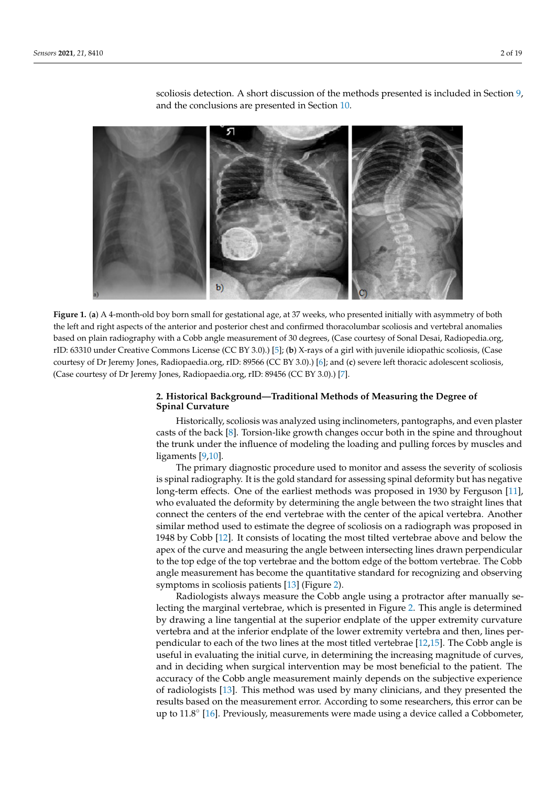<span id="page-1-0"></span>

scoliosis detection. A short discussion of the methods presented is included in Section [9,](#page-13-2) and the conclusions are presented in Section [10.](#page-13-3) artificial intelligence methods for the detection of scoliosis. Section 8 describes open data-

Figure 1. (a) A 4-month-old boy born small for gestational age, at 37 weeks, who presented initially with asymmetry of both the left and right aspects of the anterior and posterior chest and confirmed thoracolumbar scoliosis and vertebral anomalies based on plain radiography with a Cobb angle measurement of 30 degrees, (Case courtesy of Sonal Desai, Radiopedia.org,  $\frac{1}{2}$  degrees of 30 degrees  $\frac{1}{2}$  degrees,  $\frac{1}{2}$  degrees,  $\frac{1}{2}$  degrees,  $\frac{1}{2}$  in  $\frac{1}{2}$  in  $\frac{1}{2}$ tive Commons License (CC BY 3.0).) [5]; (**b**) X-rays of a girl with juvenile idiopathic scoliosis, (Case cour-rID: 63310 under Creative Commons License (CC BY 3.0).) [\[5\]](#page-14-2); (**b**) X-rays of a girl with juvenile idiopathic scoliosis, (Case courtesy of Dr Jeremy Jones, Radiopaedia.org, rID: 89566 (CC BY 3.0).) [\[6\]](#page-14-3); and (<mark>c</mark>) severe left thoracic adolescent scoliosis, (Case courtesy of Dr Jeremy Jones, Radiopaedia.org, rID: 89456 (CC BY 3.0).) [\[7\]](#page-14-4).

## **2. Historical Background—Traditional Methods of Measuring the Degree of Spinal 2. Historical Background—Traditional Methods of Measuring the Degree of Spinal Curvature**

Historically, scoliosis was analyzed using inclinometers, pantographs, and even plas-casts of the back [\[8\]](#page-14-5). Torsion-like growth changes occur both in the spine and throughout casts of the back [8]. Torsion-like growth changes occur both in the spine and throughout the trunk under the influence of modeling the loading and pulling forces by muscles and<br>line work <sup>10,101</sup> nguns <sub>19</sub> Historically, scoliosis was analyzed using inclinometers, pantographs, and even plaster ligaments [\[9,](#page-14-6)[10\]](#page-14-7).

The primary diagnostic procedure used to monitor and assess the severity of scoliosis is spinal radiography. It is the gold standard for assessing spinal deformity but has negative is spinal radiography. It is the gold standard for assessing spinal deformity but has nega-long-term effects. One of the earliest methods was proposed in 1930 by Ferguson [\[11\]](#page-14-8), who evaluated the deformity by determining the angle between the two straight lines that who evaluated the deformity by determining the angle between the two straight lines that connect the centers of the end vertebrae with the center of the apical vertebra. Another extract the centers of the end vertebrate with the center of the appearance in the apical vertebrate similar method used to estimate the degree of scoliosis on a radiograph was proposed in 1948 by Cobb [\[12\]](#page-14-9). It consists of locating the most tilted vertebrae above and below the apex of the curve and measuring the angle between intersecting lines drawn perpendicular to the top edge of the top vertebrae and the bottom edge of the bottom vertebrae. The Cobb angle measurement has become the quantitative standard for recognizing and observing symptoms in scoliosis patients [\[13\]](#page-14-10) (Figure [2\)](#page-2-0). The primary diagnostic procedure used to monitor and assess the severity of scoliosis

Radiologists always measure the Cobb angle using a protractor after manually selecting the marginal vertebrae, which is presented in Figure [2.](#page-2-0) This angle is determined by drawing a line tangential at the superior endplate of the upper extremity curvature vertebra and at the inferior endplate of the lower extremity vertebra and then, lines perpendicular to each of the two lines at the most titled vertebrae [\[12,](#page-14-9)[15\]](#page-14-11). The Cobb angle is useful in evaluating the initial curve, in determining the increasing magnitude of curves, and in deciding when surgical intervention may be most beneficial to the patient. The accuracy of the Cobb angle measurement mainly depends on the subjective experience of radiologists [\[13\]](#page-14-10). This method was used by many clinicians, and they presented the results based on the measurement error. According to some researchers, this error can be up to 11.8° [\[16\]](#page-14-12). Previously, measurements were made using a device called a Cobbometer,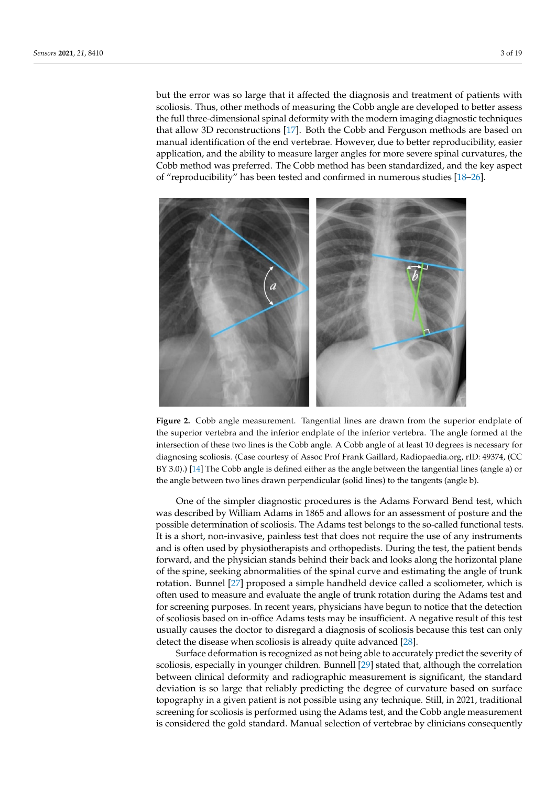but the error was so large that it affected the diagnosis and treatment of patients with scoliosis. Thus, other methods of measuring the Cobb angle are developed to better assess the full three-dimensional spinal deformity with the modern imaging diagnostic techniques that allow 3D reconstructions [\[17\]](#page-14-13). Both the Cobb and Ferguson methods are based on manual identification of the end vertebrae. However, due to better reproducibility, easier application, and the ability to measure larger angles for more severe spinal curvatures, the Cobb method was preferred. The Cobb method has been standardized, and the key aspect *Sensors* **2021**, *21*, x FOR PEER REVIEW 3 of 19 of "reproducibility" has been tested and confirmed in numerous studies [\[18–](#page-14-14)[26\]](#page-14-15).

<span id="page-2-0"></span>

Figure 2. Cobb angle measurement. Tangential lines are drawn from the superior endplate of the superior vertebra and the inferior endplate of the inferior vertebra. The angle formed at the section of these two lines is the Cobb angle. A Cobb angle of at least 10 degrees is necessary for intersection of these two lines is the Cobb angle. A Cobb angle of at least 10 degrees is necessary for  $d_{\text{max}}$  of  $C_0$  as the Courtesy of Association of Association of Association of Association of  $C_0$ diagnosing scoliosis. (Case courtesy of Assoc Prof Frank Gaillard, Radiopaedia.org, rID: 49374, (CC BY 3.0).) [\[14\]](#page-14-16) The Cobb angle is defined either as the angle between the tangential lines (angle a) or the angle between two lines drawn perpendicular (solid lines) to the tangents (angle b).

Radiologists always measure the Cobb angle using a protractor after manually se-One of the simpler diagnostic procedures is the Adams Forward Bend test, which is determined in Figure 2. This angle is determined to the simpler of the simpler of the simpler of the simpler of the simpler of the simpler o was described by William Adams in 1865 and allows for an assessment of posture and the<br>was ikke determine the upper extremity of described by the upper to the second of forestime determines possible determination of scoliosis. The Adams test belongs to the so-called functional tests.<br>Julie and the some interesting periodical the label of some interests the social tests in the social tests. It is a short, not invasive, panness test that does not require the use of any instruments<br>and is often used by physiotherapists and orthopedists. During the test, the patient bends and is onen used by physicial curves and orthopedists. Butting the test, the pattent behas<br>forward, and the physician stands behind their back and looks along the horizontal plane of the spine, seeking abnormalities of the spinal curve and estimating the angle of trunk of the combined measurement of the cobbine of the substituting the thigher thanks rotation. Bunnel [\[27\]](#page-14-17) proposed a simple handheld device called a scoliometer, which is often used to measure and evaluate the angle of trunk rotation during the Adams test and often used to measure and evaluate the angle of trunk rotation during the Adams test and for screening purposes. In recent years, physicians have begun to notice that the detection of scoliosis based on in-office Adams tests may be insufficient. A negative result of this test usually causes the doctor to disregard a diagnosis of scoliosis because this test can only detect the disease when scoliosis is already quite advanced [\[28\]](#page-14-18). It is a short, non-invasive, painless test that does not require the use of any instruments

Surface deformation is recognized as not being able to accurately predict the severity of scoliosis, especially in younger children. Bunnell [\[29\]](#page-14-19) stated that, although the correlation between clinical deformity and radiographic measurement is significant, the standard deviation is so large that reliably predicting the degree of curvature based on surface topography in a given patient is not possible using any technique. Still, in 2021, traditional screening for scoliosis is performed using the Adams test, and the Cobb angle measurement is considered the gold standard. Manual selection of vertebrae by clinicians consequently

was described by William Adams in 1865 and allows for an assessment of posture and the posture and the posture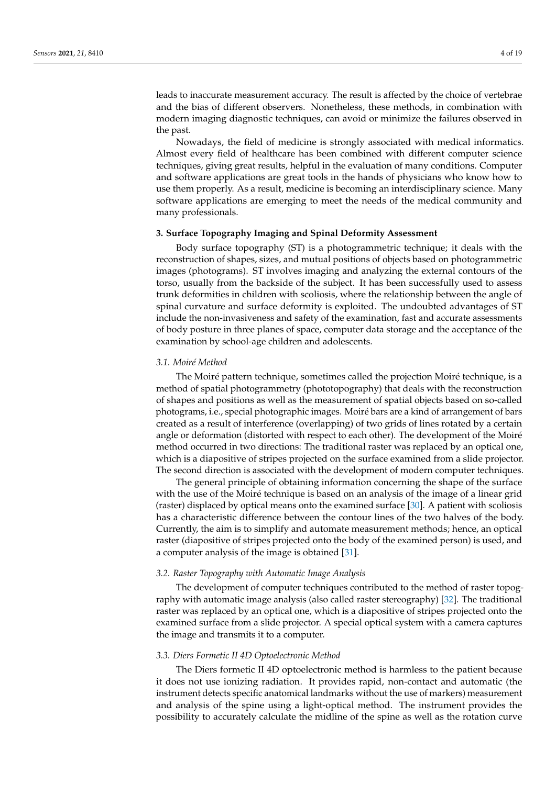leads to inaccurate measurement accuracy. The result is affected by the choice of vertebrae and the bias of different observers. Nonetheless, these methods, in combination with modern imaging diagnostic techniques, can avoid or minimize the failures observed in the past.

Nowadays, the field of medicine is strongly associated with medical informatics. Almost every field of healthcare has been combined with different computer science techniques, giving great results, helpful in the evaluation of many conditions. Computer and software applications are great tools in the hands of physicians who know how to use them properly. As a result, medicine is becoming an interdisciplinary science. Many software applications are emerging to meet the needs of the medical community and many professionals.

### **3. Surface Topography Imaging and Spinal Deformity Assessment**

Body surface topography (ST) is a photogrammetric technique; it deals with the reconstruction of shapes, sizes, and mutual positions of objects based on photogrammetric images (photograms). ST involves imaging and analyzing the external contours of the torso, usually from the backside of the subject. It has been successfully used to assess trunk deformities in children with scoliosis, where the relationship between the angle of spinal curvature and surface deformity is exploited. The undoubted advantages of ST include the non-invasiveness and safety of the examination, fast and accurate assessments of body posture in three planes of space, computer data storage and the acceptance of the examination by school-age children and adolescents.

#### *3.1. Moiré Method*

The Moiré pattern technique, sometimes called the projection Moiré technique, is a method of spatial photogrammetry (phototopography) that deals with the reconstruction of shapes and positions as well as the measurement of spatial objects based on so-called photograms, i.e., special photographic images. Moiré bars are a kind of arrangement of bars created as a result of interference (overlapping) of two grids of lines rotated by a certain angle or deformation (distorted with respect to each other). The development of the Moiré method occurred in two directions: The traditional raster was replaced by an optical one, which is a diapositive of stripes projected on the surface examined from a slide projector. The second direction is associated with the development of modern computer techniques.

The general principle of obtaining information concerning the shape of the surface with the use of the Moiré technique is based on an analysis of the image of a linear grid (raster) displaced by optical means onto the examined surface [\[30\]](#page-14-20). A patient with scoliosis has a characteristic difference between the contour lines of the two halves of the body. Currently, the aim is to simplify and automate measurement methods; hence, an optical raster (diapositive of stripes projected onto the body of the examined person) is used, and a computer analysis of the image is obtained [\[31\]](#page-14-21).

#### *3.2. Raster Topography with Automatic Image Analysis*

The development of computer techniques contributed to the method of raster topography with automatic image analysis (also called raster stereography) [\[32\]](#page-14-22). The traditional raster was replaced by an optical one, which is a diapositive of stripes projected onto the examined surface from a slide projector. A special optical system with a camera captures the image and transmits it to a computer.

#### *3.3. Diers Formetic II 4D Optoelectronic Method*

The Diers formetic II 4D optoelectronic method is harmless to the patient because it does not use ionizing radiation. It provides rapid, non-contact and automatic (the instrument detects specific anatomical landmarks without the use of markers) measurement and analysis of the spine using a light-optical method. The instrument provides the possibility to accurately calculate the midline of the spine as well as the rotation curve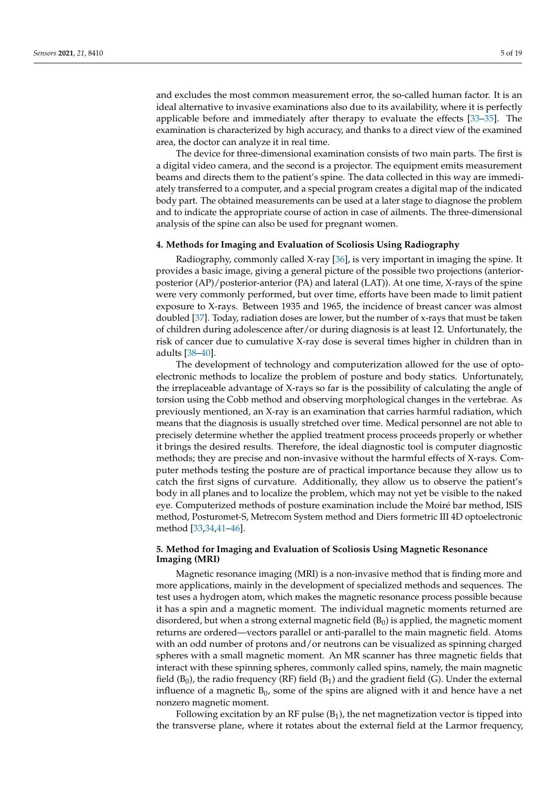and excludes the most common measurement error, the so-called human factor. It is an ideal alternative to invasive examinations also due to its availability, where it is perfectly applicable before and immediately after therapy to evaluate the effects [\[33–](#page-14-23)[35\]](#page-15-0). The examination is characterized by high accuracy, and thanks to a direct view of the examined area, the doctor can analyze it in real time.

The device for three-dimensional examination consists of two main parts. The first is a digital video camera, and the second is a projector. The equipment emits measurement beams and directs them to the patient's spine. The data collected in this way are immediately transferred to a computer, and a special program creates a digital map of the indicated body part. The obtained measurements can be used at a later stage to diagnose the problem and to indicate the appropriate course of action in case of ailments. The three-dimensional analysis of the spine can also be used for pregnant women.

#### **4. Methods for Imaging and Evaluation of Scoliosis Using Radiography**

Radiography, commonly called X-ray [\[36\]](#page-15-1), is very important in imaging the spine. It provides a basic image, giving a general picture of the possible two projections (anteriorposterior (AP)/posterior-anterior (PA) and lateral (LAT)). At one time, X-rays of the spine were very commonly performed, but over time, efforts have been made to limit patient exposure to X-rays. Between 1935 and 1965, the incidence of breast cancer was almost doubled [\[37\]](#page-15-2). Today, radiation doses are lower, but the number of x-rays that must be taken of children during adolescence after/or during diagnosis is at least 12. Unfortunately, the risk of cancer due to cumulative X-ray dose is several times higher in children than in adults [\[38](#page-15-3)[–40\]](#page-15-4).

The development of technology and computerization allowed for the use of optoelectronic methods to localize the problem of posture and body statics. Unfortunately, the irreplaceable advantage of X-rays so far is the possibility of calculating the angle of torsion using the Cobb method and observing morphological changes in the vertebrae. As previously mentioned, an X-ray is an examination that carries harmful radiation, which means that the diagnosis is usually stretched over time. Medical personnel are not able to precisely determine whether the applied treatment process proceeds properly or whether it brings the desired results. Therefore, the ideal diagnostic tool is computer diagnostic methods; they are precise and non-invasive without the harmful effects of X-rays. Computer methods testing the posture are of practical importance because they allow us to catch the first signs of curvature. Additionally, they allow us to observe the patient's body in all planes and to localize the problem, which may not yet be visible to the naked eye. Computerized methods of posture examination include the Moiré bar method, ISIS method, Posturomet-S, Metrecom System method and Diers formetric III 4D optoelectronic method [\[33,](#page-14-23)[34,](#page-14-24)[41](#page-15-5)[–46\]](#page-15-6).

### **5. Method for Imaging and Evaluation of Scoliosis Using Magnetic Resonance Imaging (MRI)**

Magnetic resonance imaging (MRI) is a non-invasive method that is finding more and more applications, mainly in the development of specialized methods and sequences. The test uses a hydrogen atom, which makes the magnetic resonance process possible because it has a spin and a magnetic moment. The individual magnetic moments returned are disordered, but when a strong external magnetic field  $(B_0)$  is applied, the magnetic moment returns are ordered—vectors parallel or anti-parallel to the main magnetic field. Atoms with an odd number of protons and/or neutrons can be visualized as spinning charged spheres with a small magnetic moment. An MR scanner has three magnetic fields that interact with these spinning spheres, commonly called spins, namely, the main magnetic field  $(B_0)$ , the radio frequency (RF) field  $(B_1)$  and the gradient field (G). Under the external influence of a magnetic  $B_0$ , some of the spins are aligned with it and hence have a net nonzero magnetic moment.

Following excitation by an RF pulse  $(B_1)$ , the net magnetization vector is tipped into the transverse plane, where it rotates about the external field at the Larmor frequency,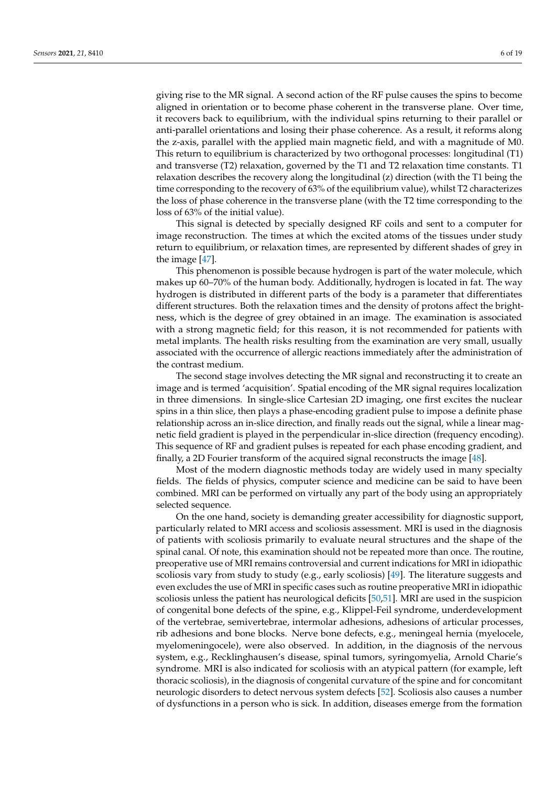giving rise to the MR signal. A second action of the RF pulse causes the spins to become aligned in orientation or to become phase coherent in the transverse plane. Over time, it recovers back to equilibrium, with the individual spins returning to their parallel or anti-parallel orientations and losing their phase coherence. As a result, it reforms along the z-axis, parallel with the applied main magnetic field, and with a magnitude of M0. This return to equilibrium is characterized by two orthogonal processes: longitudinal (T1) and transverse (T2) relaxation, governed by the T1 and T2 relaxation time constants. T1 relaxation describes the recovery along the longitudinal (z) direction (with the T1 being the time corresponding to the recovery of 63% of the equilibrium value), whilst T2 characterizes the loss of phase coherence in the transverse plane (with the T2 time corresponding to the loss of 63% of the initial value).

This signal is detected by specially designed RF coils and sent to a computer for image reconstruction. The times at which the excited atoms of the tissues under study return to equilibrium, or relaxation times, are represented by different shades of grey in the image [\[47\]](#page-15-7).

This phenomenon is possible because hydrogen is part of the water molecule, which makes up 60–70% of the human body. Additionally, hydrogen is located in fat. The way hydrogen is distributed in different parts of the body is a parameter that differentiates different structures. Both the relaxation times and the density of protons affect the brightness, which is the degree of grey obtained in an image. The examination is associated with a strong magnetic field; for this reason, it is not recommended for patients with metal implants. The health risks resulting from the examination are very small, usually associated with the occurrence of allergic reactions immediately after the administration of the contrast medium.

The second stage involves detecting the MR signal and reconstructing it to create an image and is termed 'acquisition'. Spatial encoding of the MR signal requires localization in three dimensions. In single-slice Cartesian 2D imaging, one first excites the nuclear spins in a thin slice, then plays a phase-encoding gradient pulse to impose a definite phase relationship across an in-slice direction, and finally reads out the signal, while a linear magnetic field gradient is played in the perpendicular in-slice direction (frequency encoding). This sequence of RF and gradient pulses is repeated for each phase encoding gradient, and finally, a 2D Fourier transform of the acquired signal reconstructs the image [\[48\]](#page-15-8).

Most of the modern diagnostic methods today are widely used in many specialty fields. The fields of physics, computer science and medicine can be said to have been combined. MRI can be performed on virtually any part of the body using an appropriately selected sequence.

On the one hand, society is demanding greater accessibility for diagnostic support, particularly related to MRI access and scoliosis assessment. MRI is used in the diagnosis of patients with scoliosis primarily to evaluate neural structures and the shape of the spinal canal. Of note, this examination should not be repeated more than once. The routine, preoperative use of MRI remains controversial and current indications for MRI in idiopathic scoliosis vary from study to study (e.g., early scoliosis) [\[49\]](#page-15-9). The literature suggests and even excludes the use of MRI in specific cases such as routine preoperative MRI in idiopathic scoliosis unless the patient has neurological deficits [\[50,](#page-15-10)[51\]](#page-15-11). MRI are used in the suspicion of congenital bone defects of the spine, e.g., Klippel-Feil syndrome, underdevelopment of the vertebrae, semivertebrae, intermolar adhesions, adhesions of articular processes, rib adhesions and bone blocks. Nerve bone defects, e.g., meningeal hernia (myelocele, myelomeningocele), were also observed. In addition, in the diagnosis of the nervous system, e.g., Recklinghausen's disease, spinal tumors, syringomyelia, Arnold Charie's syndrome. MRI is also indicated for scoliosis with an atypical pattern (for example, left thoracic scoliosis), in the diagnosis of congenital curvature of the spine and for concomitant neurologic disorders to detect nervous system defects [\[52\]](#page-15-12). Scoliosis also causes a number of dysfunctions in a person who is sick. In addition, diseases emerge from the formation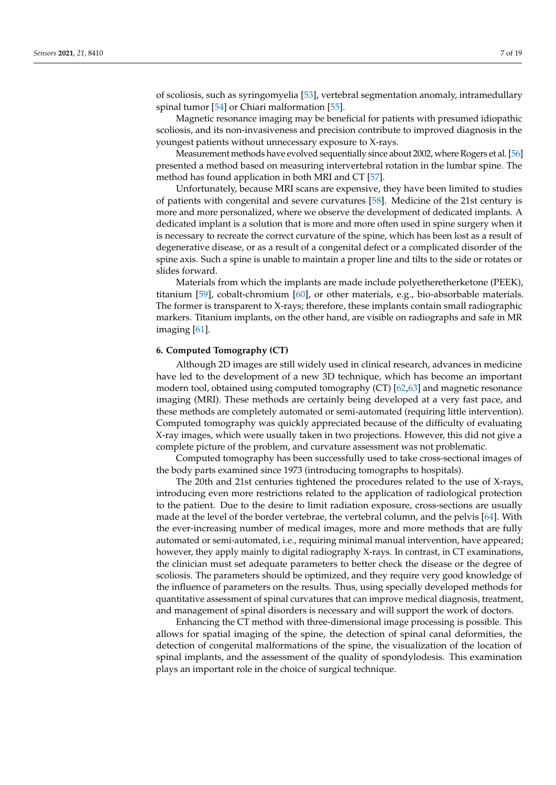of scoliosis, such as syringomyelia [\[53\]](#page-15-13), vertebral segmentation anomaly, intramedullary spinal tumor [\[54\]](#page-15-14) or Chiari malformation [\[55\]](#page-15-15).

Magnetic resonance imaging may be beneficial for patients with presumed idiopathic scoliosis, and its non-invasiveness and precision contribute to improved diagnosis in the youngest patients without unnecessary exposure to X-rays.

Measurement methods have evolved sequentially since about 2002, where Rogers et al. [\[56\]](#page-15-16) presented a method based on measuring intervertebral rotation in the lumbar spine. The method has found application in both MRI and CT [\[57\]](#page-15-17).

Unfortunately, because MRI scans are expensive, they have been limited to studies of patients with congenital and severe curvatures [\[58\]](#page-15-18). Medicine of the 21st century is more and more personalized, where we observe the development of dedicated implants. A dedicated implant is a solution that is more and more often used in spine surgery when it is necessary to recreate the correct curvature of the spine, which has been lost as a result of degenerative disease, or as a result of a congenital defect or a complicated disorder of the spine axis. Such a spine is unable to maintain a proper line and tilts to the side or rotates or slides forward.

Materials from which the implants are made include polyetheretherketone (PEEK), titanium [\[59\]](#page-15-19), cobalt-chromium [\[60\]](#page-15-20), or other materials, e.g., bio-absorbable materials. The former is transparent to X-rays; therefore, these implants contain small radiographic markers. Titanium implants, on the other hand, are visible on radiographs and safe in MR imaging [\[61\]](#page-15-21).

#### **6. Computed Tomography (CT)**

Although 2D images are still widely used in clinical research, advances in medicine have led to the development of a new 3D technique, which has become an important modern tool, obtained using computed tomography (CT) [\[62](#page-16-0)[,63\]](#page-16-1) and magnetic resonance imaging (MRI). These methods are certainly being developed at a very fast pace, and these methods are completely automated or semi-automated (requiring little intervention). Computed tomography was quickly appreciated because of the difficulty of evaluating X-ray images, which were usually taken in two projections. However, this did not give a complete picture of the problem, and curvature assessment was not problematic.

Computed tomography has been successfully used to take cross-sectional images of the body parts examined since 1973 (introducing tomographs to hospitals).

The 20th and 21st centuries tightened the procedures related to the use of X-rays, introducing even more restrictions related to the application of radiological protection to the patient. Due to the desire to limit radiation exposure, cross-sections are usually made at the level of the border vertebrae, the vertebral column, and the pelvis [\[64\]](#page-16-2). With the ever-increasing number of medical images, more and more methods that are fully automated or semi-automated, i.e., requiring minimal manual intervention, have appeared; however, they apply mainly to digital radiography X-rays. In contrast, in CT examinations, the clinician must set adequate parameters to better check the disease or the degree of scoliosis. The parameters should be optimized, and they require very good knowledge of the influence of parameters on the results. Thus, using specially developed methods for quantitative assessment of spinal curvatures that can improve medical diagnosis, treatment, and management of spinal disorders is necessary and will support the work of doctors.

Enhancing the CT method with three-dimensional image processing is possible. This allows for spatial imaging of the spine, the detection of spinal canal deformities, the detection of congenital malformations of the spine, the visualization of the location of spinal implants, and the assessment of the quality of spondylodesis. This examination plays an important role in the choice of surgical technique.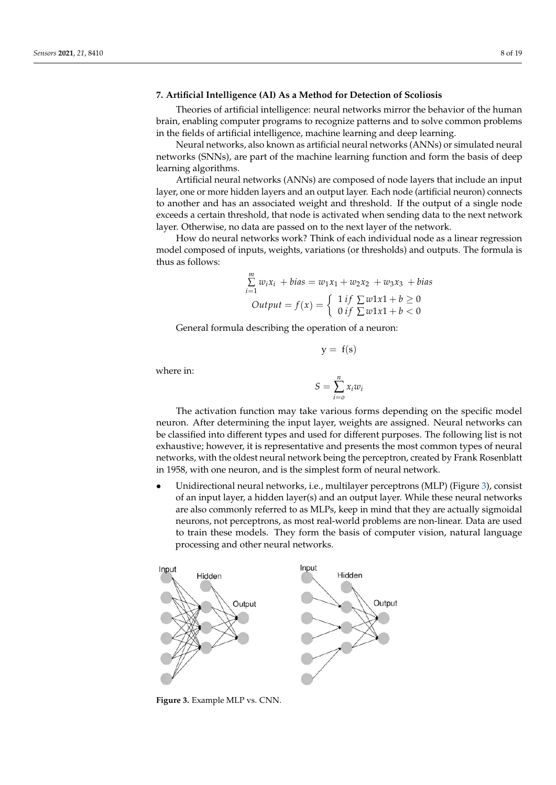### **7. Artificial Intelligence (AI) As a Method for Detection of Scoliosis**

Theories of artificial intelligence: neural networks mirror the behavior of the human brain, enabling computer programs to recognize patterns and to solve common problems in the fields of artificial intelligence, machine learning and deep learning.

Neural networks, also known as artificial neural networks (ANNs) or simulated neural networks (SNNs), are part of the machine learning function and form the basis of deep learning algorithms.

Artificial neural networks (ANNs) are composed of node layers that include an input layer, one or more hidden layers and an output layer. Each node (artificial neuron) connects to another and has an associated weight and threshold. If the output of a single node exceeds a certain threshold, that node is activated when sending data to the next network layer. Otherwise, no data are passed on to the next layer of the network.

How do neural networks work? Think of each individual node as a linear regression model composed of inputs, weights, variations (or thresholds) and outputs. The formula is thus as follows:

$$
\sum_{i=1}^{m} w_i x_i + bias = w_1 x_1 + w_2 x_2 + w_3 x_3 + bias
$$
  
Output =  $f(x) = \begin{cases} 1 & \text{if } \sum w1x1 + b \ge 0 \\ 0 & \text{if } \sum w1x1 + b < 0 \end{cases}$ 

General formula describing the operation of a neuron:

where in:

$$
S = \sum_{i=0}^{n} x_i w_i
$$

 $y = f(s)$ 

The activation function may take various forms depending on the specific model neuron. After determining the input layer, weights are assigned. Neural networks can be classified into different types and used for different purposes. The following list is not exhaustive; however, it is representative and presents the most common types of neural networks, with the oldest neural network being the perceptron, created by Frank Rosenblatt in 1958, with one neuron, and is the simplest form of neural network.

> • Unidirectional neural net[wo](#page-7-0)rks, i.e., multilayer perceptrons (MLP) (Figure 3), consist of an input layer, a hidden layer(s) and an output layer. While these neural networks are also commonly referred to as MLPs, keep in mind that they are actually sigmoidal neurons, not perceptrons, as most real-world problems are non-linear. Data are used to train these models. They form the basis of computer vision, natural language processing and other neural networks.

<span id="page-7-0"></span>

**Figure 3.** Example MLP vs. CNN.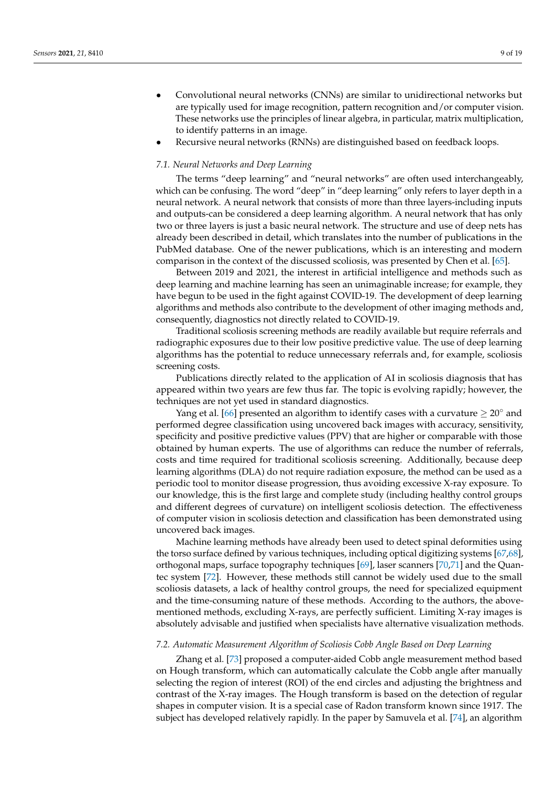- Convolutional neural networks (CNNs) are similar to unidirectional networks but are typically used for image recognition, pattern recognition and/or computer vision. These networks use the principles of linear algebra, in particular, matrix multiplication, to identify patterns in an image.
- Recursive neural networks (RNNs) are distinguished based on feedback loops.

#### *7.1. Neural Networks and Deep Learning*

The terms "deep learning" and "neural networks" are often used interchangeably, which can be confusing. The word "deep" in "deep learning" only refers to layer depth in a neural network. A neural network that consists of more than three layers-including inputs and outputs-can be considered a deep learning algorithm. A neural network that has only two or three layers is just a basic neural network. The structure and use of deep nets has already been described in detail, which translates into the number of publications in the PubMed database. One of the newer publications, which is an interesting and modern comparison in the context of the discussed scoliosis, was presented by Chen et al. [\[65\]](#page-16-3).

Between 2019 and 2021, the interest in artificial intelligence and methods such as deep learning and machine learning has seen an unimaginable increase; for example, they have begun to be used in the fight against COVID-19. The development of deep learning algorithms and methods also contribute to the development of other imaging methods and, consequently, diagnostics not directly related to COVID-19.

Traditional scoliosis screening methods are readily available but require referrals and radiographic exposures due to their low positive predictive value. The use of deep learning algorithms has the potential to reduce unnecessary referrals and, for example, scoliosis screening costs.

Publications directly related to the application of AI in scoliosis diagnosis that has appeared within two years are few thus far. The topic is evolving rapidly; however, the techniques are not yet used in standard diagnostics.

Yang et al. [\[66\]](#page-16-4) presented an algorithm to identify cases with a curvature  $\geq 20^\circ$  and performed degree classification using uncovered back images with accuracy, sensitivity, specificity and positive predictive values (PPV) that are higher or comparable with those obtained by human experts. The use of algorithms can reduce the number of referrals, costs and time required for traditional scoliosis screening. Additionally, because deep learning algorithms (DLA) do not require radiation exposure, the method can be used as a periodic tool to monitor disease progression, thus avoiding excessive X-ray exposure. To our knowledge, this is the first large and complete study (including healthy control groups and different degrees of curvature) on intelligent scoliosis detection. The effectiveness of computer vision in scoliosis detection and classification has been demonstrated using uncovered back images.

Machine learning methods have already been used to detect spinal deformities using the torso surface defined by various techniques, including optical digitizing systems [\[67](#page-16-5)[,68\]](#page-16-6), orthogonal maps, surface topography techniques [\[69\]](#page-16-7), laser scanners [\[70,](#page-16-8)[71\]](#page-16-9) and the Quantec system [\[72\]](#page-16-10). However, these methods still cannot be widely used due to the small scoliosis datasets, a lack of healthy control groups, the need for specialized equipment and the time-consuming nature of these methods. According to the authors, the abovementioned methods, excluding X-rays, are perfectly sufficient. Limiting X-ray images is absolutely advisable and justified when specialists have alternative visualization methods.

#### *7.2. Automatic Measurement Algorithm of Scoliosis Cobb Angle Based on Deep Learning*

Zhang et al. [\[73\]](#page-16-11) proposed a computer-aided Cobb angle measurement method based on Hough transform, which can automatically calculate the Cobb angle after manually selecting the region of interest (ROI) of the end circles and adjusting the brightness and contrast of the X-ray images. The Hough transform is based on the detection of regular shapes in computer vision. It is a special case of Radon transform known since 1917. The subject has developed relatively rapidly. In the paper by Samuvela et al. [\[74\]](#page-16-12), an algorithm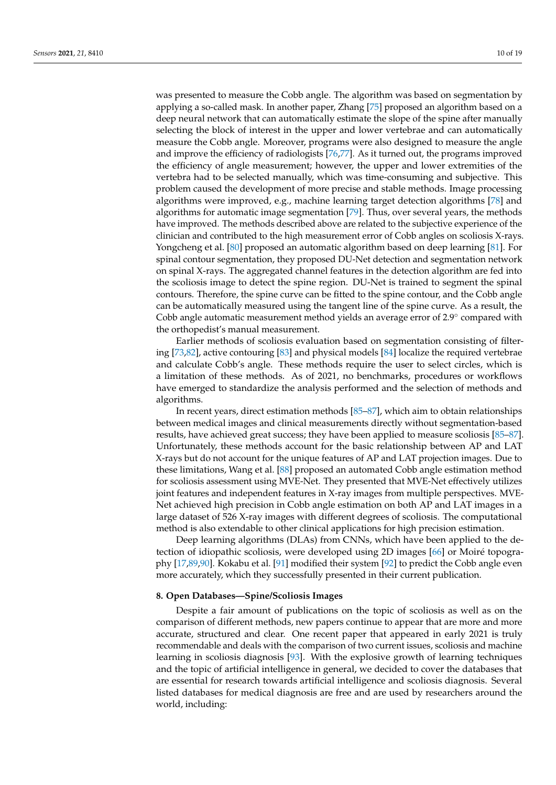was presented to measure the Cobb angle. The algorithm was based on segmentation by applying a so-called mask. In another paper, Zhang [\[75\]](#page-16-13) proposed an algorithm based on a deep neural network that can automatically estimate the slope of the spine after manually selecting the block of interest in the upper and lower vertebrae and can automatically measure the Cobb angle. Moreover, programs were also designed to measure the angle and improve the efficiency of radiologists [\[76](#page-16-14)[,77\]](#page-16-15). As it turned out, the programs improved the efficiency of angle measurement; however, the upper and lower extremities of the vertebra had to be selected manually, which was time-consuming and subjective. This problem caused the development of more precise and stable methods. Image processing algorithms were improved, e.g., machine learning target detection algorithms [\[78\]](#page-16-16) and algorithms for automatic image segmentation [\[79\]](#page-16-17). Thus, over several years, the methods have improved. The methods described above are related to the subjective experience of the clinician and contributed to the high measurement error of Cobb angles on scoliosis X-rays. Yongcheng et al. [\[80\]](#page-16-18) proposed an automatic algorithm based on deep learning [\[81\]](#page-16-19). For spinal contour segmentation, they proposed DU-Net detection and segmentation network on spinal X-rays. The aggregated channel features in the detection algorithm are fed into the scoliosis image to detect the spine region. DU-Net is trained to segment the spinal contours. Therefore, the spine curve can be fitted to the spine contour, and the Cobb angle can be automatically measured using the tangent line of the spine curve. As a result, the Cobb angle automatic measurement method yields an average error of 2.9◦ compared with the orthopedist's manual measurement.

Earlier methods of scoliosis evaluation based on segmentation consisting of filtering [\[73,](#page-16-11)[82\]](#page-16-20), active contouring [\[83\]](#page-16-21) and physical models [\[84\]](#page-16-22) localize the required vertebrae and calculate Cobb's angle. These methods require the user to select circles, which is a limitation of these methods. As of 2021, no benchmarks, procedures or workflows have emerged to standardize the analysis performed and the selection of methods and algorithms.

In recent years, direct estimation methods [\[85–](#page-16-23)[87\]](#page-16-24), which aim to obtain relationships between medical images and clinical measurements directly without segmentation-based results, have achieved great success; they have been applied to measure scoliosis [\[85](#page-16-23)[–87\]](#page-16-24). Unfortunately, these methods account for the basic relationship between AP and LAT X-rays but do not account for the unique features of AP and LAT projection images. Due to these limitations, Wang et al. [\[88\]](#page-16-25) proposed an automated Cobb angle estimation method for scoliosis assessment using MVE-Net. They presented that MVE-Net effectively utilizes joint features and independent features in X-ray images from multiple perspectives. MVE-Net achieved high precision in Cobb angle estimation on both AP and LAT images in a large dataset of 526 X-ray images with different degrees of scoliosis. The computational method is also extendable to other clinical applications for high precision estimation.

Deep learning algorithms (DLAs) from CNNs, which have been applied to the detection of idiopathic scoliosis, were developed using 2D images [\[66\]](#page-16-4) or Moiré topography [\[17,](#page-14-13)[89](#page-16-26)[,90\]](#page-17-0). Kokabu et al. [\[91\]](#page-17-1) modified their system [\[92\]](#page-17-2) to predict the Cobb angle even more accurately, which they successfully presented in their current publication.

### <span id="page-9-0"></span>**8. Open Databases—Spine/Scoliosis Images**

Despite a fair amount of publications on the topic of scoliosis as well as on the comparison of different methods, new papers continue to appear that are more and more accurate, structured and clear. One recent paper that appeared in early 2021 is truly recommendable and deals with the comparison of two current issues, scoliosis and machine learning in scoliosis diagnosis [\[93\]](#page-17-3). With the explosive growth of learning techniques and the topic of artificial intelligence in general, we decided to cover the databases that are essential for research towards artificial intelligence and scoliosis diagnosis. Several listed databases for medical diagnosis are free and are used by researchers around the world, including: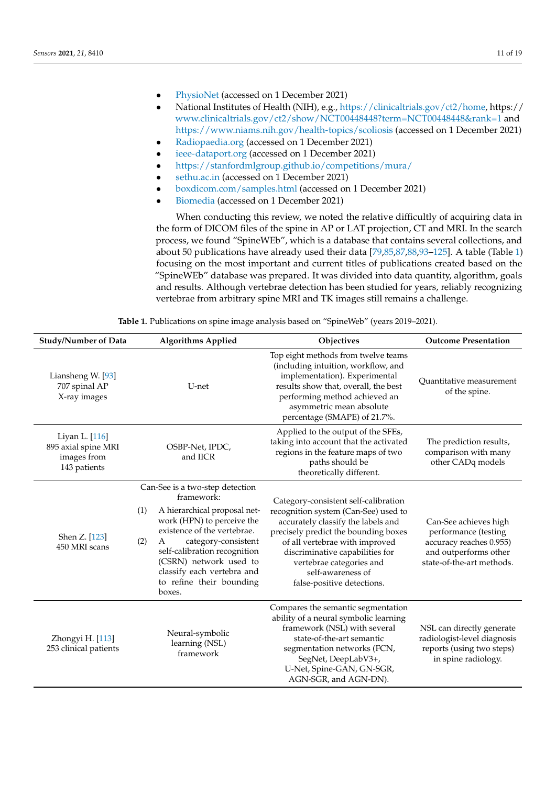- <PhysioNet> (accessed on 1 December 2021)
- National Institutes of Health (NIH), e.g., [https://clinicaltrials.gov/ct2/home,](https://clinicaltrials.gov/ct2/home) https:// <www.clinicaltrials.gov/ct2/show/NCT00448448?term=NCT00448448&rank=1> and <https://www.niams.nih.gov/health-topics/scoliosis> (accessed on 1 December 2021)
- <Radiopaedia.org> (accessed on 1 December 2021)
- <ieee-dataport.org> (accessed on 1 December 2021)
- <https://stanfordmlgroup.github.io/competitions/mura/>
- <sethu.ac.in> (accessed on 1 December 2021)
- <boxdicom.com/samples.html> (accessed on 1 December 2021)
- <Biomedia> (accessed on 1 December 2021)

When conducting this review, we noted the relative difficultly of acquiring data in the form of DICOM files of the spine in AP or LAT projection, CT and MRI. In the search process, we found "SpineWEb", which is a database that contains several collections, and about 50 publications have already used their data [\[79,](#page-16-17)[85](#page-16-23)[,87,](#page-16-24)[88](#page-16-25)[,93](#page-17-3)[–125\]](#page-18-0). A table (Table [1\)](#page-12-0) focusing on the most important and current titles of publications created based on the "SpineWEb" database was prepared. It was divided into data quantity, algorithm, goals and results. Although vertebrae detection has been studied for years, reliably recognizing vertebrae from arbitrary spine MRI and TK images still remains a challenge.

| <b>Study/Number of Data</b>                                          | <b>Algorithms Applied</b>                                                                                                                                                                                                                                                                                          | Objectives                                                                                                                                                                                                                                                                                                     | <b>Outcome Presentation</b>                                                                                                    |
|----------------------------------------------------------------------|--------------------------------------------------------------------------------------------------------------------------------------------------------------------------------------------------------------------------------------------------------------------------------------------------------------------|----------------------------------------------------------------------------------------------------------------------------------------------------------------------------------------------------------------------------------------------------------------------------------------------------------------|--------------------------------------------------------------------------------------------------------------------------------|
| Liansheng W. [93]<br>707 spinal AP<br>X-ray images                   | U-net                                                                                                                                                                                                                                                                                                              | Top eight methods from twelve teams<br>(including intuition, workflow, and<br>implementation). Experimental<br>results show that, overall, the best<br>performing method achieved an<br>asymmetric mean absolute<br>percentage (SMAPE) of 21.7%.                                                               | <b>Ouantitative</b> measurement<br>of the spine.                                                                               |
| Liyan L. [116]<br>895 axial spine MRI<br>images from<br>143 patients | OSBP-Net, IPDC,<br>and IICR                                                                                                                                                                                                                                                                                        | Applied to the output of the SFEs,<br>taking into account that the activated<br>regions in the feature maps of two<br>paths should be<br>theoretically different.                                                                                                                                              | The prediction results,<br>comparison with many<br>other CADq models                                                           |
| Shen Z. [123]<br>450 MRI scans                                       | Can-See is a two-step detection<br>framework:<br>A hierarchical proposal net-<br>(1)<br>work (HPN) to perceive the<br>existence of the vertebrae.<br>(2)<br>category-consistent<br>A<br>self-calibration recognition<br>(CSRN) network used to<br>classify each vertebra and<br>to refine their bounding<br>boxes. | Category-consistent self-calibration<br>recognition system (Can-See) used to<br>accurately classify the labels and<br>precisely predict the bounding boxes<br>of all vertebrae with improved<br>discriminative capabilities for<br>vertebrae categories and<br>self-awareness of<br>false-positive detections. | Can-See achieves high<br>performance (testing<br>accuracy reaches 0.955)<br>and outperforms other<br>state-of-the-art methods. |
| Zhongyi H. [113]<br>253 clinical patients                            | Neural-symbolic<br>learning (NSL)<br>framework                                                                                                                                                                                                                                                                     | Compares the semantic segmentation<br>ability of a neural symbolic learning<br>framework (NSL) with several<br>state-of-the-art semantic<br>segmentation networks (FCN,<br>SegNet, DeepLabV3+,<br>U-Net, Spine-GAN, GN-SGR,<br>AGN-SGR, and AGN-DN).                                                           | NSL can directly generate<br>radiologist-level diagnosis<br>reports (using two steps)<br>in spine radiology.                   |

**Table 1.** Publications on spine image analysis based on "SpineWeb" (years 2019–2021).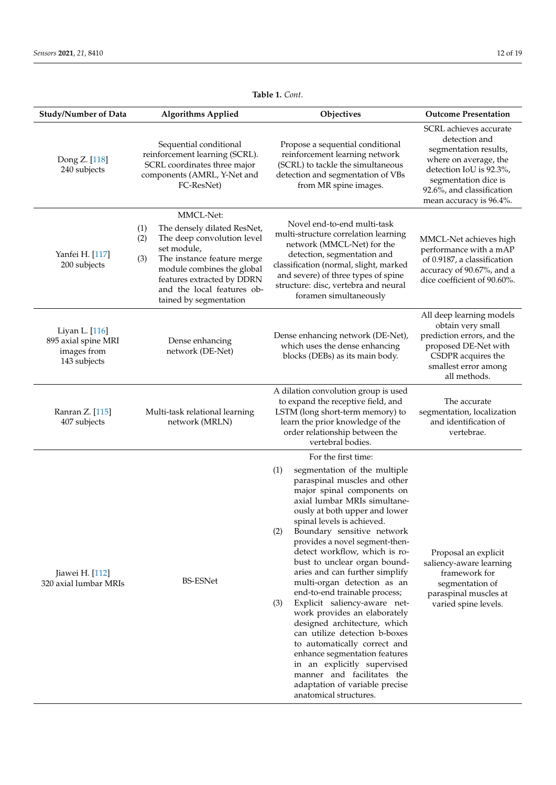| <b>Study/Number of Data</b>                                          | <b>Algorithms Applied</b>                                                                                                                                                                                                                                    | Objectives                                                                                                                                                                                                                                                                                                                                                                                                                                                                                                                                                                                                                                                                                                                                                                                          | <b>Outcome Presentation</b>                                                                                                                                                                          |
|----------------------------------------------------------------------|--------------------------------------------------------------------------------------------------------------------------------------------------------------------------------------------------------------------------------------------------------------|-----------------------------------------------------------------------------------------------------------------------------------------------------------------------------------------------------------------------------------------------------------------------------------------------------------------------------------------------------------------------------------------------------------------------------------------------------------------------------------------------------------------------------------------------------------------------------------------------------------------------------------------------------------------------------------------------------------------------------------------------------------------------------------------------------|------------------------------------------------------------------------------------------------------------------------------------------------------------------------------------------------------|
| Dong Z. [118]<br>240 subjects                                        | Sequential conditional<br>reinforcement learning (SCRL).<br>SCRL coordinates three major<br>components (AMRL, Y-Net and<br>FC-ResNet)                                                                                                                        | Propose a sequential conditional<br>reinforcement learning network<br>(SCRL) to tackle the simultaneous<br>detection and segmentation of VBs<br>from MR spine images.                                                                                                                                                                                                                                                                                                                                                                                                                                                                                                                                                                                                                               | SCRL achieves accurate<br>detection and<br>segmentation results,<br>where on average, the<br>detection IoU is 92.3%,<br>segmentation dice is<br>92.6%, and classification<br>mean accuracy is 96.4%. |
| Yanfei H. [117]<br>200 subjects                                      | MMCL-Net:<br>The densely dilated ResNet,<br>(1)<br>The deep convolution level<br>(2)<br>set module,<br>The instance feature merge<br>(3)<br>module combines the global<br>features extracted by DDRN<br>and the local features ob-<br>tained by segmentation | Novel end-to-end multi-task<br>multi-structure correlation learning<br>network (MMCL-Net) for the<br>detection, segmentation and<br>classification (normal, slight, marked<br>and severe) of three types of spine<br>structure: disc, vertebra and neural<br>foramen simultaneously                                                                                                                                                                                                                                                                                                                                                                                                                                                                                                                 | MMCL-Net achieves high<br>performance with a mAP<br>of 0.9187, a classification<br>accuracy of 90.67%, and a<br>dice coefficient of 90.60%.                                                          |
| Liyan L. [116]<br>895 axial spine MRI<br>images from<br>143 subjects | Dense enhancing<br>network (DE-Net)                                                                                                                                                                                                                          | Dense enhancing network (DE-Net),<br>which uses the dense enhancing<br>blocks (DEBs) as its main body.                                                                                                                                                                                                                                                                                                                                                                                                                                                                                                                                                                                                                                                                                              | All deep learning models<br>obtain very small<br>prediction errors, and the<br>proposed DE-Net with<br>CSDPR acquires the<br>smallest error among<br>all methods.                                    |
| Ranran Z. [115]<br>407 subjects                                      | Multi-task relational learning<br>network (MRLN)                                                                                                                                                                                                             | A dilation convolution group is used<br>to expand the receptive field, and<br>LSTM (long short-term memory) to<br>learn the prior knowledge of the<br>order relationship between the<br>vertebral bodies.                                                                                                                                                                                                                                                                                                                                                                                                                                                                                                                                                                                           | The accurate<br>segmentation, localization<br>and identification of<br>vertebrae.                                                                                                                    |
| Jiawei H. [112]<br>320 axial lumbar MRIs                             | <b>BS-ESNet</b>                                                                                                                                                                                                                                              | For the first time:<br>segmentation of the multiple<br>(1)<br>paraspinal muscles and other<br>major spinal components on<br>axial lumbar MRIs simultane-<br>ously at both upper and lower<br>spinal levels is achieved.<br>(2)<br>Boundary sensitive network<br>provides a novel segment-then-<br>detect workflow, which is ro-<br>bust to unclear organ bound-<br>aries and can further simplify<br>multi-organ detection as an<br>end-to-end trainable process;<br>Explicit saliency-aware net-<br>(3)<br>work provides an elaborately<br>designed architecture, which<br>can utilize detection b-boxes<br>to automatically correct and<br>enhance segmentation features<br>in an explicitly supervised<br>manner and facilitates the<br>adaptation of variable precise<br>anatomical structures. | Proposal an explicit<br>saliency-aware learning<br>framework for<br>segmentation of<br>paraspinal muscles at<br>varied spine levels.                                                                 |

**Table 1.** *Cont*.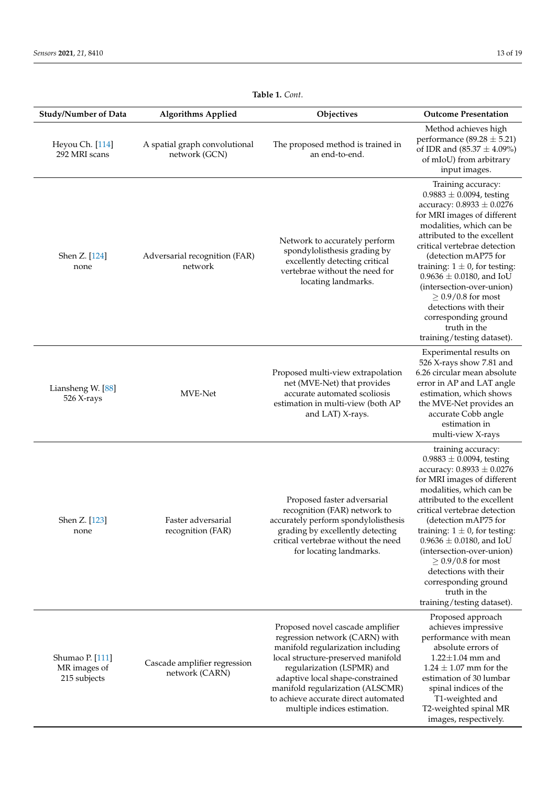<span id="page-12-0"></span>

| <b>Study/Number of Data</b>                     | <b>Algorithms Applied</b>                      | Objectives                                                                                                                                                                                                                                                                                                                  | <b>Outcome Presentation</b>                                                                                                                                                                                                                                                                                                                                                                                                                                          |
|-------------------------------------------------|------------------------------------------------|-----------------------------------------------------------------------------------------------------------------------------------------------------------------------------------------------------------------------------------------------------------------------------------------------------------------------------|----------------------------------------------------------------------------------------------------------------------------------------------------------------------------------------------------------------------------------------------------------------------------------------------------------------------------------------------------------------------------------------------------------------------------------------------------------------------|
| Heyou Ch. [114]<br>292 MRI scans                | A spatial graph convolutional<br>network (GCN) | The proposed method is trained in<br>an end-to-end.                                                                                                                                                                                                                                                                         | Method achieves high<br>performance (89.28 $\pm$ 5.21)<br>of IDR and $(85.37 \pm 4.09\%)$<br>of mIoU) from arbitrary<br>input images.                                                                                                                                                                                                                                                                                                                                |
| Shen Z. [124]<br>none                           | Adversarial recognition (FAR)<br>network       | Network to accurately perform<br>spondylolisthesis grading by<br>excellently detecting critical<br>vertebrae without the need for<br>locating landmarks.                                                                                                                                                                    | Training accuracy:<br>$0.9883 \pm 0.0094$ , testing<br>accuracy: $0.8933 \pm 0.0276$<br>for MRI images of different<br>modalities, which can be<br>attributed to the excellent<br>critical vertebrae detection<br>(detection mAP75 for<br>training: $1 \pm 0$ , for testing:<br>$0.9636 \pm 0.0180$ , and IoU<br>(intersection-over-union)<br>$> 0.9/0.8$ for most<br>detections with their<br>corresponding ground<br>truth in the<br>training/testing dataset).    |
| Liansheng W. [88]<br>526 X-rays                 | MVE-Net                                        | Proposed multi-view extrapolation<br>net (MVE-Net) that provides<br>accurate automated scoliosis<br>estimation in multi-view (both AP<br>and LAT) X-rays.                                                                                                                                                                   | Experimental results on<br>526 X-rays show 7.81 and<br>6.26 circular mean absolute<br>error in AP and LAT angle<br>estimation, which shows<br>the MVE-Net provides an<br>accurate Cobb angle<br>estimation in<br>multi-view X-rays                                                                                                                                                                                                                                   |
| Shen Z. [123]<br>none                           | Faster adversarial<br>recognition (FAR)        | Proposed faster adversarial<br>recognition (FAR) network to<br>accurately perform spondylolisthesis<br>grading by excellently detecting<br>critical vertebrae without the need<br>for locating landmarks.                                                                                                                   | training accuracy:<br>$0.9883 \pm 0.0094$ , testing<br>accuracy: $0.8933 \pm 0.0276$<br>for MRI images of different<br>modalities, which can be<br>attributed to the excellent<br>critical vertebrae detection<br>(detection mAP75 for<br>training: $1 \pm 0$ , for testing:<br>$0.9636 \pm 0.0180$ , and IoU<br>(intersection-over-union)<br>$\geq$ 0.9/0.8 for most<br>detections with their<br>corresponding ground<br>truth in the<br>training/testing dataset). |
| Shumao P. [111]<br>MR images of<br>215 subjects | Cascade amplifier regression<br>network (CARN) | Proposed novel cascade amplifier<br>regression network (CARN) with<br>manifold regularization including<br>local structure-preserved manifold<br>regularization (LSPMR) and<br>adaptive local shape-constrained<br>manifold regularization (ALSCMR)<br>to achieve accurate direct automated<br>multiple indices estimation. | Proposed approach<br>achieves impressive<br>performance with mean<br>absolute errors of<br>$1.22 \pm 1.04$ mm and<br>$1.24 \pm 1.07$ mm for the<br>estimation of 30 lumbar<br>spinal indices of the<br>T1-weighted and<br>T2-weighted spinal MR<br>images, respectively.                                                                                                                                                                                             |

**Table 1.** *Cont*.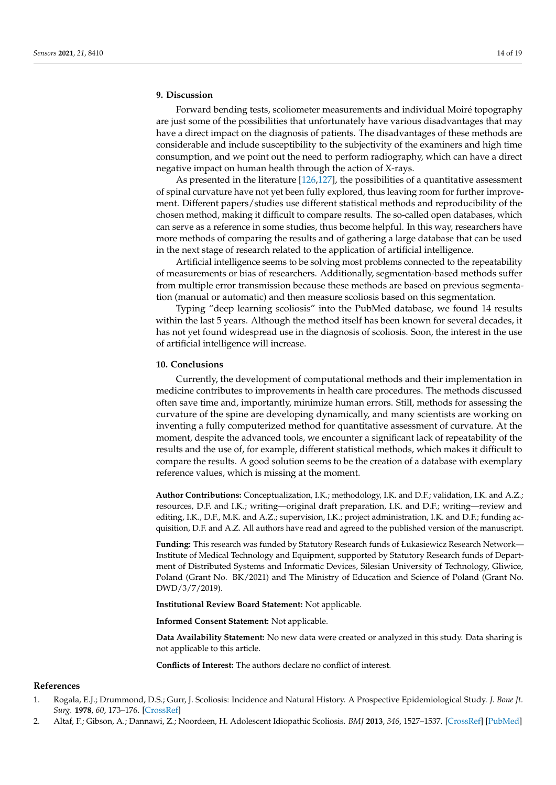# <span id="page-13-2"></span>**9. Discussion**

Forward bending tests, scoliometer measurements and individual Moiré topography are just some of the possibilities that unfortunately have various disadvantages that may have a direct impact on the diagnosis of patients. The disadvantages of these methods are considerable and include susceptibility to the subjectivity of the examiners and high time consumption, and we point out the need to perform radiography, which can have a direct negative impact on human health through the action of X-rays.

As presented in the literature [\[126,](#page-18-9)[127\]](#page-18-10), the possibilities of a quantitative assessment of spinal curvature have not yet been fully explored, thus leaving room for further improvement. Different papers/studies use different statistical methods and reproducibility of the chosen method, making it difficult to compare results. The so-called open databases, which can serve as a reference in some studies, thus become helpful. In this way, researchers have more methods of comparing the results and of gathering a large database that can be used in the next stage of research related to the application of artificial intelligence.

Artificial intelligence seems to be solving most problems connected to the repeatability of measurements or bias of researchers. Additionally, segmentation-based methods suffer from multiple error transmission because these methods are based on previous segmentation (manual or automatic) and then measure scoliosis based on this segmentation.

Typing "deep learning scoliosis" into the PubMed database, we found 14 results within the last 5 years. Although the method itself has been known for several decades, it has not yet found widespread use in the diagnosis of scoliosis. Soon, the interest in the use of artificial intelligence will increase.

# <span id="page-13-3"></span>**10. Conclusions**

Currently, the development of computational methods and their implementation in medicine contributes to improvements in health care procedures. The methods discussed often save time and, importantly, minimize human errors. Still, methods for assessing the curvature of the spine are developing dynamically, and many scientists are working on inventing a fully computerized method for quantitative assessment of curvature. At the moment, despite the advanced tools, we encounter a significant lack of repeatability of the results and the use of, for example, different statistical methods, which makes it difficult to compare the results. A good solution seems to be the creation of a database with exemplary reference values, which is missing at the moment.

**Author Contributions:** Conceptualization, I.K.; methodology, I.K. and D.F.; validation, I.K. and A.Z.; resources, D.F. and I.K.; writing—original draft preparation, I.K. and D.F.; writing—review and editing, I.K., D.F., M.K. and A.Z.; supervision, I.K.; project administration, I.K. and D.F.; funding acquisition, D.F. and A.Z. All authors have read and agreed to the published version of the manuscript.

**Funding:** This research was funded by Statutory Research funds of Łukasiewicz Research Network— Institute of Medical Technology and Equipment, supported by Statutory Research funds of Department of Distributed Systems and Informatic Devices, Silesian University of Technology, Gliwice, Poland (Grant No. BK/2021) and The Ministry of Education and Science of Poland (Grant No. DWD/3/7/2019).

**Institutional Review Board Statement:** Not applicable.

**Informed Consent Statement:** Not applicable.

**Data Availability Statement:** No new data were created or analyzed in this study. Data sharing is not applicable to this article.

**Conflicts of Interest:** The authors declare no conflict of interest.

#### **References**

- <span id="page-13-0"></span>1. Rogala, E.J.; Drummond, D.S.; Gurr, J. Scoliosis: Incidence and Natural History. A Prospective Epidemiological Study. *J. Bone Jt. Surg.* **1978**, *60*, 173–176. [\[CrossRef\]](http://doi.org/10.2106/00004623-197860020-00005)
- <span id="page-13-1"></span>2. Altaf, F.; Gibson, A.; Dannawi, Z.; Noordeen, H. Adolescent Idiopathic Scoliosis. *BMJ* **2013**, *346*, 1527–1537. [\[CrossRef\]](http://doi.org/10.1136/bmj.f2508) [\[PubMed\]](http://www.ncbi.nlm.nih.gov/pubmed/23633006)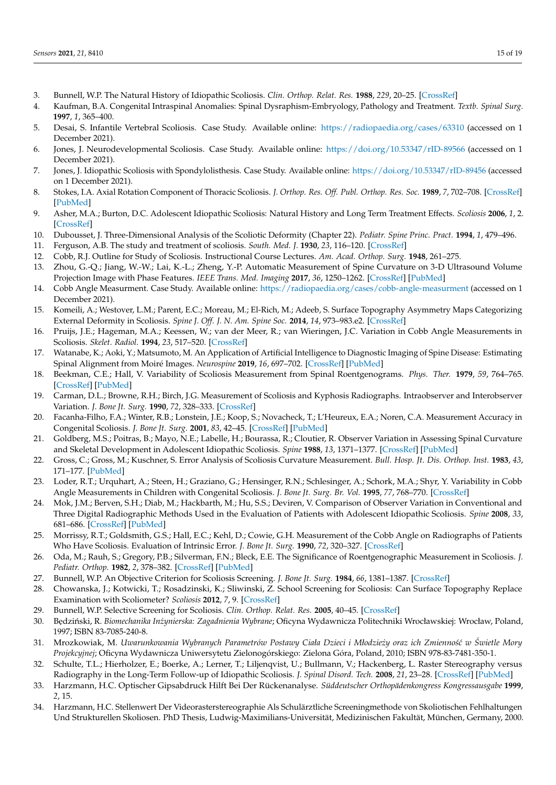- <span id="page-14-0"></span>3. Bunnell, W.P. The Natural History of Idiopathic Scoliosis. *Clin. Orthop. Relat. Res.* **1988**, *229*, 20–25. [\[CrossRef\]](http://doi.org/10.1097/00003086-198804000-00003)
- <span id="page-14-1"></span>4. Kaufman, B.A. Congenital Intraspinal Anomalies: Spinal Dysraphism-Embryology, Pathology and Treatment. *Textb. Spinal Surg.* **1997**, *1*, 365–400.
- <span id="page-14-2"></span>5. Desai, S. Infantile Vertebral Scoliosis. Case Study. Available online: <https://radiopaedia.org/cases/63310> (accessed on 1 December 2021).
- <span id="page-14-3"></span>6. Jones, J. Neurodevelopmental Scoliosis. Case Study. Available online: <https://doi.org/10.53347/rID-89566> (accessed on 1 December 2021).
- <span id="page-14-4"></span>7. Jones, J. Idiopathic Scoliosis with Spondylolisthesis. Case Study. Available online: <https://doi.org/10.53347/rID-89456> (accessed on 1 December 2021).
- <span id="page-14-5"></span>8. Stokes, I.A. Axial Rotation Component of Thoracic Scoliosis. *J. Orthop. Res. Off. Publ. Orthop. Res. Soc.* **1989**, *7*, 702–708. [\[CrossRef\]](http://doi.org/10.1002/jor.1100070511) [\[PubMed\]](http://www.ncbi.nlm.nih.gov/pubmed/2760743)
- <span id="page-14-6"></span>9. Asher, M.A.; Burton, D.C. Adolescent Idiopathic Scoliosis: Natural History and Long Term Treatment Effects. *Scoliosis* **2006**, *1*, 2. [\[CrossRef\]](http://doi.org/10.1186/1748-7161-1-2)
- <span id="page-14-7"></span>10. Dubousset, J. Three-Dimensional Analysis of the Scoliotic Deformity (Chapter 22). *Pediatr. Spine Princ. Pract.* **1994**, *1*, 479–496.
- <span id="page-14-8"></span>11. Ferguson, A.B. The study and treatment of scoliosis. *South. Med. J.* **1930**, *23*, 116–120. [\[CrossRef\]](http://doi.org/10.1097/00007611-193002000-00007)
- <span id="page-14-9"></span>12. Cobb, R.J. Outline for Study of Scoliosis. Instructional Course Lectures. *Am. Acad. Orthop. Surg.* **1948**, 261–275.
- <span id="page-14-10"></span>13. Zhou, G.-Q.; Jiang, W.-W.; Lai, K.-L.; Zheng, Y.-P. Automatic Measurement of Spine Curvature on 3-D Ultrasound Volume Projection Image with Phase Features. *IEEE Trans. Med. Imaging* **2017**, *36*, 1250–1262. [\[CrossRef\]](http://doi.org/10.1109/TMI.2017.2674681) [\[PubMed\]](http://www.ncbi.nlm.nih.gov/pubmed/28252393)
- <span id="page-14-16"></span>14. Cobb Angle Measurment. Case Study. Available online: <https://radiopaedia.org/cases/cobb-angle-measurment> (accessed on 1 December 2021).
- <span id="page-14-11"></span>15. Komeili, A.; Westover, L.M.; Parent, E.C.; Moreau, M.; El-Rich, M.; Adeeb, S. Surface Topography Asymmetry Maps Categorizing External Deformity in Scoliosis. *Spine J. Off. J. N. Am. Spine Soc.* **2014**, *14*, 973–983.e2. [\[CrossRef\]](http://doi.org/10.1016/j.spinee.2013.09.032)
- <span id="page-14-12"></span>16. Pruijs, J.E.; Hageman, M.A.; Keessen, W.; van der Meer, R.; van Wieringen, J.C. Variation in Cobb Angle Measurements in Scoliosis. *Skelet. Radiol.* **1994**, *23*, 517–520. [\[CrossRef\]](http://doi.org/10.1007/BF00223081)
- <span id="page-14-13"></span>17. Watanabe, K.; Aoki, Y.; Matsumoto, M. An Application of Artificial Intelligence to Diagnostic Imaging of Spine Disease: Estimating Spinal Alignment from Moiré Images. *Neurospine* **2019**, *16*, 697–702. [\[CrossRef\]](http://doi.org/10.14245/ns.1938426.213) [\[PubMed\]](http://www.ncbi.nlm.nih.gov/pubmed/31905459)
- <span id="page-14-14"></span>18. Beekman, C.E.; Hall, V. Variability of Scoliosis Measurement from Spinal Roentgenograms. *Phys. Ther.* **1979**, *59*, 764–765. [\[CrossRef\]](http://doi.org/10.1093/ptj/59.6.764) [\[PubMed\]](http://www.ncbi.nlm.nih.gov/pubmed/441122)
- 19. Carman, D.L.; Browne, R.H.; Birch, J.G. Measurement of Scoliosis and Kyphosis Radiographs. Intraobserver and Interobserver Variation. *J. Bone Jt. Surg.* **1990**, *72*, 328–333. [\[CrossRef\]](http://doi.org/10.2106/00004623-199072030-00003)
- 20. Facanha-Filho, F.A.; Winter, R.B.; Lonstein, J.E.; Koop, S.; Novacheck, T.; L'Heureux, E.A.; Noren, C.A. Measurement Accuracy in Congenital Scoliosis. *J. Bone Jt. Surg.* **2001**, *83*, 42–45. [\[CrossRef\]](http://doi.org/10.2106/00004623-200101000-00006) [\[PubMed\]](http://www.ncbi.nlm.nih.gov/pubmed/11205857)
- 21. Goldberg, M.S.; Poitras, B.; Mayo, N.E.; Labelle, H.; Bourassa, R.; Cloutier, R. Observer Variation in Assessing Spinal Curvature and Skeletal Development in Adolescent Idiopathic Scoliosis. *Spine* **1988**, *13*, 1371–1377. [\[CrossRef\]](http://doi.org/10.1097/00007632-198812000-00008) [\[PubMed\]](http://www.ncbi.nlm.nih.gov/pubmed/3212571)
- 22. Gross, C.; Gross, M.; Kuschner, S. Error Analysis of Scoliosis Curvature Measurement. *Bull. Hosp. Jt. Dis. Orthop. Inst.* **1983**, *43*, 171–177. [\[PubMed\]](http://www.ncbi.nlm.nih.gov/pubmed/6317100)
- 23. Loder, R.T.; Urquhart, A.; Steen, H.; Graziano, G.; Hensinger, R.N.; Schlesinger, A.; Schork, M.A.; Shyr, Y. Variability in Cobb Angle Measurements in Children with Congenital Scoliosis. *J. Bone Jt. Surg. Br. Vol.* **1995**, *77*, 768–770. [\[CrossRef\]](http://doi.org/10.1302/0301-620X.77B5.7559707)
- 24. Mok, J.M.; Berven, S.H.; Diab, M.; Hackbarth, M.; Hu, S.S.; Deviren, V. Comparison of Observer Variation in Conventional and Three Digital Radiographic Methods Used in the Evaluation of Patients with Adolescent Idiopathic Scoliosis. *Spine* **2008**, *33*, 681–686. [\[CrossRef\]](http://doi.org/10.1097/BRS.0b013e318166aa8d) [\[PubMed\]](http://www.ncbi.nlm.nih.gov/pubmed/18344863)
- 25. Morrissy, R.T.; Goldsmith, G.S.; Hall, E.C.; Kehl, D.; Cowie, G.H. Measurement of the Cobb Angle on Radiographs of Patients Who Have Scoliosis. Evaluation of Intrinsic Error. *J. Bone Jt. Surg.* **1990**, *72*, 320–327. [\[CrossRef\]](http://doi.org/10.2106/00004623-199072030-00002)
- <span id="page-14-15"></span>26. Oda, M.; Rauh, S.; Gregory, P.B.; Silverman, F.N.; Bleck, E.E. The Significance of Roentgenographic Measurement in Scoliosis. *J. Pediatr. Orthop.* **1982**, *2*, 378–382. [\[CrossRef\]](http://doi.org/10.1097/01241398-198210000-00005) [\[PubMed\]](http://www.ncbi.nlm.nih.gov/pubmed/7142387)
- <span id="page-14-17"></span>27. Bunnell, W.P. An Objective Criterion for Scoliosis Screening. *J. Bone Jt. Surg.* **1984**, *66*, 1381–1387. [\[CrossRef\]](http://doi.org/10.2106/00004623-198466090-00010)
- <span id="page-14-18"></span>28. Chowanska, J.; Kotwicki, T.; Rosadzinski, K.; Sliwinski, Z. School Screening for Scoliosis: Can Surface Topography Replace Examination with Scoliometer? *Scoliosis* **2012**, *7*, 9. [\[CrossRef\]](http://doi.org/10.1186/1748-7161-7-9)
- <span id="page-14-19"></span>29. Bunnell, W.P. Selective Screening for Scoliosis. *Clin. Orthop. Relat. Res.* **2005**, 40–45. [\[CrossRef\]](http://doi.org/10.1097/01.blo.0000163242.92733.66)
- <span id="page-14-20"></span>30. B ˛edzi ´nski, R. *Biomechanika Inzynierska: Zagadnienia Wybrane ˙* ; Oficyna Wydawnicza Politechniki Wrocławskiej: Wrocław, Poland, 1997; ISBN 83-7085-240-8.
- <span id="page-14-21"></span>31. Mrozkowiak, M. *Uwarunkowania Wybranych Parametrów Postawy Ciała Dzieci i Młodziezy oraz ich Zmienno´s´c w ˙ Swietle Mory ´ Projekcyjnej*; Oficyna Wydawnicza Uniwersytetu Zielonogórskiego: Zielona Góra, Poland, 2010; ISBN 978-83-7481-350-1.
- <span id="page-14-22"></span>32. Schulte, T.L.; Hierholzer, E.; Boerke, A.; Lerner, T.; Liljenqvist, U.; Bullmann, V.; Hackenberg, L. Raster Stereography versus Radiography in the Long-Term Follow-up of Idiopathic Scoliosis. *J. Spinal Disord. Tech.* **2008**, *21*, 23–28. [\[CrossRef\]](http://doi.org/10.1097/BSD.0b013e318057529b) [\[PubMed\]](http://www.ncbi.nlm.nih.gov/pubmed/18418132)
- <span id="page-14-23"></span>33. Harzmann, H.C. Optischer Gipsabdruck Hilft Bei Der Rückenanalyse. *Süddeutscher Orthopädenkongress Kongressausgabe* **1999**, *2*, 15.
- <span id="page-14-24"></span>34. Harzmann, H.C. Stellenwert Der Videorasterstereographie Als Schulärztliche Screeningmethode von Skoliotischen Fehlhaltungen Und Strukturellen Skoliosen. PhD Thesis, Ludwig-Maximilians-Universität, Medizinischen Fakultät, München, Germany, 2000.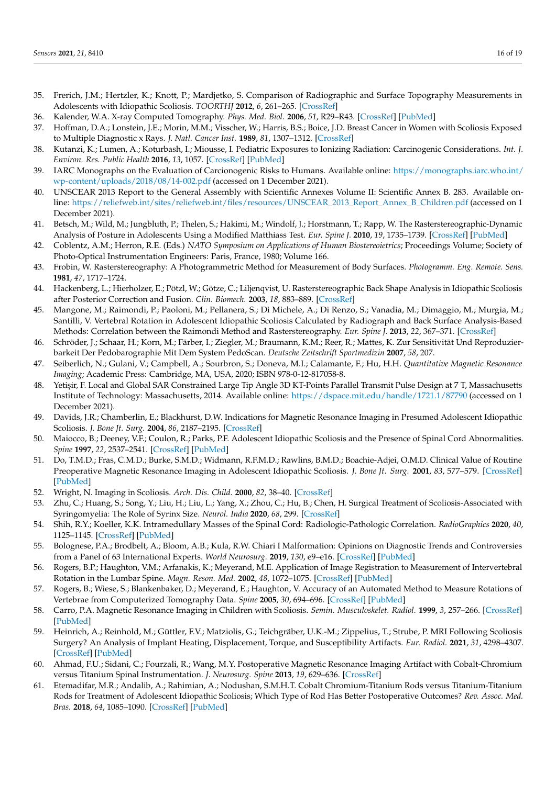- <span id="page-15-0"></span>35. Frerich, J.M.; Hertzler, K.; Knott, P.; Mardjetko, S. Comparison of Radiographic and Surface Topography Measurements in Adolescents with Idiopathic Scoliosis. *TOORTHJ* **2012**, *6*, 261–265. [\[CrossRef\]](http://doi.org/10.2174/1874325001206010261)
- <span id="page-15-1"></span>36. Kalender, W.A. X-ray Computed Tomography. *Phys. Med. Biol.* **2006**, *51*, R29–R43. [\[CrossRef\]](http://doi.org/10.1088/0031-9155/51/13/R03) [\[PubMed\]](http://www.ncbi.nlm.nih.gov/pubmed/16790909)
- <span id="page-15-2"></span>37. Hoffman, D.A.; Lonstein, J.E.; Morin, M.M.; Visscher, W.; Harris, B.S.; Boice, J.D. Breast Cancer in Women with Scoliosis Exposed to Multiple Diagnostic x Rays. *J. Natl. Cancer Inst.* **1989**, *81*, 1307–1312. [\[CrossRef\]](http://doi.org/10.1093/jnci/81.17.1307)
- <span id="page-15-3"></span>38. Kutanzi, K.; Lumen, A.; Koturbash, I.; Miousse, I. Pediatric Exposures to Ionizing Radiation: Carcinogenic Considerations. *Int. J. Environ. Res. Public Health* **2016**, *13*, 1057. [\[CrossRef\]](http://doi.org/10.3390/ijerph13111057) [\[PubMed\]](http://www.ncbi.nlm.nih.gov/pubmed/27801855)
- 39. IARC Monographs on the Evaluation of Carcionogenic Risks to Humans. Available online: [https://monographs.iarc.who.int/](https://monographs.iarc.who.int/wp-content/uploads/2018/08/14-002.pdf) [wp-content/uploads/2018/08/14-002.pdf](https://monographs.iarc.who.int/wp-content/uploads/2018/08/14-002.pdf) (accessed on 1 December 2021).
- <span id="page-15-4"></span>40. UNSCEAR 2013 Report to the General Assembly with Scientific Annexes Volume II: Scientific Annex B. 283. Available online: [https://reliefweb.int/sites/reliefweb.int/files/resources/UNSCEAR\\_2013\\_Report\\_Annex\\_B\\_Children.pdf](https://reliefweb.int/sites/reliefweb.int/files/resources/UNSCEAR_2013_Report_Annex_B_Children.pdf) (accessed on 1 December 2021).
- <span id="page-15-5"></span>41. Betsch, M.; Wild, M.; Jungbluth, P.; Thelen, S.; Hakimi, M.; Windolf, J.; Horstmann, T.; Rapp, W. The Rasterstereographic-Dynamic Analysis of Posture in Adolescents Using a Modified Matthiass Test. *Eur. Spine J.* **2010**, *19*, 1735–1739. [\[CrossRef\]](http://doi.org/10.1007/s00586-010-1450-6) [\[PubMed\]](http://www.ncbi.nlm.nih.gov/pubmed/20490872)
- 42. Coblentz, A.M.; Herron, R.E. (Eds.) *NATO Symposium on Applications of Human Biostereoietrics*; Proceedings Volume; Society of Photo-Optical Instrumentation Engineers: Paris, France, 1980; Volume 166.
- 43. Frobin, W. Rasterstereography: A Photogrammetric Method for Measurement of Body Surfaces. *Photogramm. Eng. Remote. Sens.* **1981**, *47*, 1717–1724.
- 44. Hackenberg, L.; Hierholzer, E.; Pötzl, W.; Götze, C.; Liljenqvist, U. Rasterstereographic Back Shape Analysis in Idiopathic Scoliosis after Posterior Correction and Fusion. *Clin. Biomech.* **2003**, *18*, 883–889. [\[CrossRef\]](http://doi.org/10.1016/S0268-0033(03)00169-4)
- 45. Mangone, M.; Raimondi, P.; Paoloni, M.; Pellanera, S.; Di Michele, A.; Di Renzo, S.; Vanadia, M.; Dimaggio, M.; Murgia, M.; Santilli, V. Vertebral Rotation in Adolescent Idiopathic Scoliosis Calculated by Radiograph and Back Surface Analysis-Based Methods: Correlation between the Raimondi Method and Rasterstereography. *Eur. Spine J.* **2013**, *22*, 367–371. [\[CrossRef\]](http://doi.org/10.1007/s00586-012-2564-9)
- <span id="page-15-6"></span>46. Schröder, J.; Schaar, H.; Korn, M.; Färber, I.; Ziegler, M.; Braumann, K.M.; Reer, R.; Mattes, K. Zur Sensitivität Und Reproduzierbarkeit Der Pedobarographie Mit Dem System PedoScan. *Deutsche Zeitschrift Sportmedizin* **2007**, *58*, 207.
- <span id="page-15-7"></span>47. Seiberlich, N.; Gulani, V.; Campbell, A.; Sourbron, S.; Doneva, M.I.; Calamante, F.; Hu, H.H. *Quantitative Magnetic Resonance Imaging*; Academic Press: Cambridge, MA, USA, 2020; ISBN 978-0-12-817058-8.
- <span id="page-15-8"></span>48. Yetişir, F. Local and Global SAR Constrained Large Tip Angle 3D KT-Points Parallel Transmit Pulse Design at 7 T, Massachusetts Institute of Technology: Massachusetts, 2014. Available online: <https://dspace.mit.edu/handle/1721.1/87790> (accessed on 1 December 2021).
- <span id="page-15-9"></span>49. Davids, J.R.; Chamberlin, E.; Blackhurst, D.W. Indications for Magnetic Resonance Imaging in Presumed Adolescent Idiopathic Scoliosis. *J. Bone Jt. Surg.* **2004**, *86*, 2187–2195. [\[CrossRef\]](http://doi.org/10.2106/00004623-200410000-00009)
- <span id="page-15-10"></span>50. Maiocco, B.; Deeney, V.F.; Coulon, R.; Parks, P.F. Adolescent Idiopathic Scoliosis and the Presence of Spinal Cord Abnormalities. *Spine* **1997**, *22*, 2537–2541. [\[CrossRef\]](http://doi.org/10.1097/00007632-199711010-00014) [\[PubMed\]](http://www.ncbi.nlm.nih.gov/pubmed/9383861)
- <span id="page-15-11"></span>51. Do, T.M.D.; Fras, C.M.D.; Burke, S.M.D.; Widmann, R.F.M.D.; Rawlins, B.M.D.; Boachie-Adjei, O.M.D. Clinical Value of Routine Preoperative Magnetic Resonance Imaging in Adolescent Idiopathic Scoliosis. *J. Bone Jt. Surg.* **2001**, *83*, 577–579. [\[CrossRef\]](http://doi.org/10.2106/00004623-200104000-00014) [\[PubMed\]](http://www.ncbi.nlm.nih.gov/pubmed/11315788)
- <span id="page-15-12"></span>52. Wright, N. Imaging in Scoliosis. *Arch. Dis. Child.* **2000**, *82*, 38–40. [\[CrossRef\]](http://doi.org/10.1136/adc.82.1.38)
- <span id="page-15-13"></span>53. Zhu, C.; Huang, S.; Song, Y.; Liu, H.; Liu, L.; Yang, X.; Zhou, C.; Hu, B.; Chen, H. Surgical Treatment of Scoliosis-Associated with Syringomyelia: The Role of Syrinx Size. *Neurol. India* **2020**, *68*, 299. [\[CrossRef\]](http://doi.org/10.4103/0028-3886.280648)
- <span id="page-15-14"></span>54. Shih, R.Y.; Koeller, K.K. Intramedullary Masses of the Spinal Cord: Radiologic-Pathologic Correlation. *RadioGraphics* **2020**, *40*, 1125–1145. [\[CrossRef\]](http://doi.org/10.1148/rg.2020190196) [\[PubMed\]](http://www.ncbi.nlm.nih.gov/pubmed/32530746)
- <span id="page-15-15"></span>55. Bolognese, P.A.; Brodbelt, A.; Bloom, A.B.; Kula, R.W. Chiari I Malformation: Opinions on Diagnostic Trends and Controversies from a Panel of 63 International Experts. *World Neurosurg.* **2019**, *130*, e9–e16. [\[CrossRef\]](http://doi.org/10.1016/j.wneu.2019.05.098) [\[PubMed\]](http://www.ncbi.nlm.nih.gov/pubmed/31121369)
- <span id="page-15-16"></span>56. Rogers, B.P.; Haughton, V.M.; Arfanakis, K.; Meyerand, M.E. Application of Image Registration to Measurement of Intervertebral Rotation in the Lumbar Spine. *Magn. Reson. Med.* **2002**, *48*, 1072–1075. [\[CrossRef\]](http://doi.org/10.1002/mrm.10319) [\[PubMed\]](http://www.ncbi.nlm.nih.gov/pubmed/12465120)
- <span id="page-15-17"></span>57. Rogers, B.; Wiese, S.; Blankenbaker, D.; Meyerand, E.; Haughton, V. Accuracy of an Automated Method to Measure Rotations of Vertebrae from Computerized Tomography Data. *Spine* **2005**, *30*, 694–696. [\[CrossRef\]](http://doi.org/10.1097/01.brs.0000155413.73518.b0) [\[PubMed\]](http://www.ncbi.nlm.nih.gov/pubmed/15770187)
- <span id="page-15-18"></span>58. Carro, P.A. Magnetic Resonance Imaging in Children with Scoliosis. *Semin. Musculoskelet. Radiol.* **1999**, *3*, 257–266. [\[CrossRef\]](http://doi.org/10.1055/s-2008-1080071) [\[PubMed\]](http://www.ncbi.nlm.nih.gov/pubmed/11387143)
- <span id="page-15-19"></span>59. Heinrich, A.; Reinhold, M.; Güttler, F.V.; Matziolis, G.; Teichgräber, U.K.-M.; Zippelius, T.; Strube, P. MRI Following Scoliosis Surgery? An Analysis of Implant Heating, Displacement, Torque, and Susceptibility Artifacts. *Eur. Radiol.* **2021**, *31*, 4298–4307. [\[CrossRef\]](http://doi.org/10.1007/s00330-020-07546-6) [\[PubMed\]](http://www.ncbi.nlm.nih.gov/pubmed/33277671)
- <span id="page-15-20"></span>60. Ahmad, F.U.; Sidani, C.; Fourzali, R.; Wang, M.Y. Postoperative Magnetic Resonance Imaging Artifact with Cobalt-Chromium versus Titanium Spinal Instrumentation. *J. Neurosurg. Spine* **2013**, *19*, 629–636. [\[CrossRef\]](http://doi.org/10.3171/2013.7.SPINE1359)
- <span id="page-15-21"></span>61. Etemadifar, M.R.; Andalib, A.; Rahimian, A.; Nodushan, S.M.H.T. Cobalt Chromium-Titanium Rods versus Titanium-Titanium Rods for Treatment of Adolescent Idiopathic Scoliosis; Which Type of Rod Has Better Postoperative Outcomes? *Rev. Assoc. Med. Bras.* **2018**, *64*, 1085–1090. [\[CrossRef\]](http://doi.org/10.1590/1806-9282.64.12.1085) [\[PubMed\]](http://www.ncbi.nlm.nih.gov/pubmed/30569984)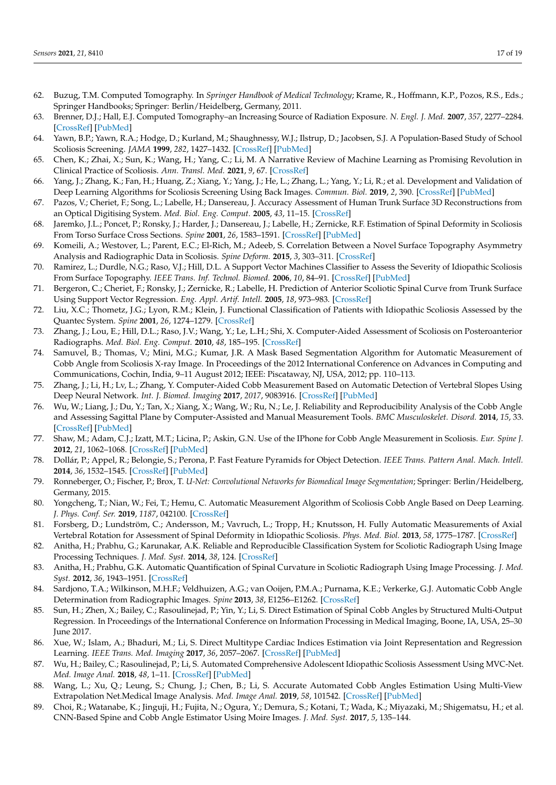- <span id="page-16-0"></span>62. Buzug, T.M. Computed Tomography. In *Springer Handbook of Medical Technology*; Krame, R., Hoffmann, K.P., Pozos, R.S., Eds.; Springer Handbooks; Springer: Berlin/Heidelberg, Germany, 2011.
- <span id="page-16-1"></span>63. Brenner, D.J.; Hall, E.J. Computed Tomography–an Increasing Source of Radiation Exposure. *N. Engl. J. Med.* **2007**, *357*, 2277–2284. [\[CrossRef\]](http://doi.org/10.1056/NEJMra072149) [\[PubMed\]](http://www.ncbi.nlm.nih.gov/pubmed/18046031)
- <span id="page-16-2"></span>64. Yawn, B.P.; Yawn, R.A.; Hodge, D.; Kurland, M.; Shaughnessy, W.J.; Ilstrup, D.; Jacobsen, S.J. A Population-Based Study of School Scoliosis Screening. *JAMA* **1999**, *282*, 1427–1432. [\[CrossRef\]](http://doi.org/10.1001/jama.282.15.1427) [\[PubMed\]](http://www.ncbi.nlm.nih.gov/pubmed/10535432)
- <span id="page-16-3"></span>65. Chen, K.; Zhai, X.; Sun, K.; Wang, H.; Yang, C.; Li, M. A Narrative Review of Machine Learning as Promising Revolution in Clinical Practice of Scoliosis. *Ann. Transl. Med.* **2021**, *9*, 67. [\[CrossRef\]](http://doi.org/10.21037/atm-20-5495)
- <span id="page-16-4"></span>66. Yang, J.; Zhang, K.; Fan, H.; Huang, Z.; Xiang, Y.; Yang, J.; He, L.; Zhang, L.; Yang, Y.; Li, R.; et al. Development and Validation of Deep Learning Algorithms for Scoliosis Screening Using Back Images. *Commun. Biol.* **2019**, *2*, 390. [\[CrossRef\]](http://doi.org/10.1038/s42003-019-0635-8) [\[PubMed\]](http://www.ncbi.nlm.nih.gov/pubmed/31667364)
- <span id="page-16-5"></span>67. Pazos, V.; Cheriet, F.; Song, L.; Labelle, H.; Dansereau, J. Accuracy Assessment of Human Trunk Surface 3D Reconstructions from an Optical Digitising System. *Med. Biol. Eng. Comput.* **2005**, *43*, 11–15. [\[CrossRef\]](http://doi.org/10.1007/BF02345117)
- <span id="page-16-6"></span>68. Jaremko, J.L.; Poncet, P.; Ronsky, J.; Harder, J.; Dansereau, J.; Labelle, H.; Zernicke, R.F. Estimation of Spinal Deformity in Scoliosis From Torso Surface Cross Sections. *Spine* **2001**, *26*, 1583–1591. [\[CrossRef\]](http://doi.org/10.1097/00007632-200107150-00017) [\[PubMed\]](http://www.ncbi.nlm.nih.gov/pubmed/11462091)
- <span id="page-16-7"></span>69. Komeili, A.; Westover, L.; Parent, E.C.; El-Rich, M.; Adeeb, S. Correlation Between a Novel Surface Topography Asymmetry Analysis and Radiographic Data in Scoliosis. *Spine Deform.* **2015**, *3*, 303–311. [\[CrossRef\]](http://doi.org/10.1016/j.jspd.2015.02.002)
- <span id="page-16-8"></span>70. Ramirez, L.; Durdle, N.G.; Raso, V.J.; Hill, D.L. A Support Vector Machines Classifier to Assess the Severity of Idiopathic Scoliosis From Surface Topography. *IEEE Trans. Inf. Technol. Biomed.* **2006**, *10*, 84–91. [\[CrossRef\]](http://doi.org/10.1109/TITB.2005.855526) [\[PubMed\]](http://www.ncbi.nlm.nih.gov/pubmed/16445253)
- <span id="page-16-9"></span>71. Bergeron, C.; Cheriet, F.; Ronsky, J.; Zernicke, R.; Labelle, H. Prediction of Anterior Scoliotic Spinal Curve from Trunk Surface Using Support Vector Regression. *Eng. Appl. Artif. Intell.* **2005**, *18*, 973–983. [\[CrossRef\]](http://doi.org/10.1016/j.engappai.2005.03.006)
- <span id="page-16-10"></span>72. Liu, X.C.; Thometz, J.G.; Lyon, R.M.; Klein, J. Functional Classification of Patients with Idiopathic Scoliosis Assessed by the Quantec System. *Spine* **2001**, *26*, 1274–1279. [\[CrossRef\]](http://doi.org/10.1097/00007632-200106010-00020)
- <span id="page-16-11"></span>73. Zhang, J.; Lou, E.; Hill, D.L.; Raso, J.V.; Wang, Y.; Le, L.H.; Shi, X. Computer-Aided Assessment of Scoliosis on Posteroanterior Radiographs. *Med. Biol. Eng. Comput.* **2010**, *48*, 185–195. [\[CrossRef\]](http://doi.org/10.1007/s11517-009-0556-7)
- <span id="page-16-12"></span>74. Samuvel, B.; Thomas, V.; Mini, M.G.; Kumar, J.R. A Mask Based Segmentation Algorithm for Automatic Measurement of Cobb Angle from Scoliosis X-ray Image. In Proceedings of the 2012 International Conference on Advances in Computing and Communications, Cochin, India, 9–11 August 2012; IEEE: Piscataway, NJ, USA, 2012; pp. 110–113.
- <span id="page-16-13"></span>75. Zhang, J.; Li, H.; Lv, L.; Zhang, Y. Computer-Aided Cobb Measurement Based on Automatic Detection of Vertebral Slopes Using Deep Neural Network. *Int. J. Biomed. Imaging* **2017**, *2017*, 9083916. [\[CrossRef\]](http://doi.org/10.1155/2017/9083916) [\[PubMed\]](http://www.ncbi.nlm.nih.gov/pubmed/29118806)
- <span id="page-16-14"></span>76. Wu, W.; Liang, J.; Du, Y.; Tan, X.; Xiang, X.; Wang, W.; Ru, N.; Le, J. Reliability and Reproducibility Analysis of the Cobb Angle and Assessing Sagittal Plane by Computer-Assisted and Manual Measurement Tools. *BMC Musculoskelet. Disord.* **2014**, *15*, 33. [\[CrossRef\]](http://doi.org/10.1186/1471-2474-15-33) [\[PubMed\]](http://www.ncbi.nlm.nih.gov/pubmed/24502397)
- <span id="page-16-15"></span>77. Shaw, M.; Adam, C.J.; Izatt, M.T.; Licina, P.; Askin, G.N. Use of the IPhone for Cobb Angle Measurement in Scoliosis. *Eur. Spine J.* **2012**, *21*, 1062–1068. [\[CrossRef\]](http://doi.org/10.1007/s00586-011-2059-0) [\[PubMed\]](http://www.ncbi.nlm.nih.gov/pubmed/22065167)
- <span id="page-16-16"></span>78. Dollár, P.; Appel, R.; Belongie, S.; Perona, P. Fast Feature Pyramids for Object Detection. *IEEE Trans. Pattern Anal. Mach. Intell.* **2014**, *36*, 1532–1545. [\[CrossRef\]](http://doi.org/10.1109/TPAMI.2014.2300479) [\[PubMed\]](http://www.ncbi.nlm.nih.gov/pubmed/26353336)
- <span id="page-16-17"></span>79. Ronneberger, O.; Fischer, P.; Brox, T. *U-Net: Convolutional Networks for Biomedical Image Segmentation*; Springer: Berlin/Heidelberg, Germany, 2015.
- <span id="page-16-18"></span>80. Yongcheng, T.; Nian, W.; Fei, T.; Hemu, C. Automatic Measurement Algorithm of Scoliosis Cobb Angle Based on Deep Learning. *J. Phys. Conf. Ser.* **2019**, *1187*, 042100. [\[CrossRef\]](http://doi.org/10.1088/1742-6596/1187/4/042100)
- <span id="page-16-19"></span>81. Forsberg, D.; Lundström, C.; Andersson, M.; Vavruch, L.; Tropp, H.; Knutsson, H. Fully Automatic Measurements of Axial Vertebral Rotation for Assessment of Spinal Deformity in Idiopathic Scoliosis. *Phys. Med. Biol.* **2013**, *58*, 1775–1787. [\[CrossRef\]](http://doi.org/10.1088/0031-9155/58/6/1775)
- <span id="page-16-20"></span>82. Anitha, H.; Prabhu, G.; Karunakar, A.K. Reliable and Reproducible Classification System for Scoliotic Radiograph Using Image Processing Techniques. *J. Med. Syst.* **2014**, *38*, 124. [\[CrossRef\]](http://doi.org/10.1007/s10916-014-0124-z)
- <span id="page-16-21"></span>83. Anitha, H.; Prabhu, G.K. Automatic Quantification of Spinal Curvature in Scoliotic Radiograph Using Image Processing. *J. Med. Syst.* **2012**, *36*, 1943–1951. [\[CrossRef\]](http://doi.org/10.1007/s10916-011-9654-9)
- <span id="page-16-22"></span>84. Sardjono, T.A.; Wilkinson, M.H.F.; Veldhuizen, A.G.; van Ooijen, P.M.A.; Purnama, K.E.; Verkerke, G.J. Automatic Cobb Angle Determination from Radiographic Images. *Spine* **2013**, *38*, E1256–E1262. [\[CrossRef\]](http://doi.org/10.1097/BRS.0b013e3182a0c7c3)
- <span id="page-16-23"></span>85. Sun, H.; Zhen, X.; Bailey, C.; Rasoulinejad, P.; Yin, Y.; Li, S. Direct Estimation of Spinal Cobb Angles by Structured Multi-Output Regression. In Proceedings of the International Conference on Information Processing in Medical Imaging, Boone, IA, USA, 25–30 June 2017.
- 86. Xue, W.; Islam, A.; Bhaduri, M.; Li, S. Direct Multitype Cardiac Indices Estimation via Joint Representation and Regression Learning. *IEEE Trans. Med. Imaging* **2017**, *36*, 2057–2067. [\[CrossRef\]](http://doi.org/10.1109/TMI.2017.2709251) [\[PubMed\]](http://www.ncbi.nlm.nih.gov/pubmed/28574348)
- <span id="page-16-24"></span>87. Wu, H.; Bailey, C.; Rasoulinejad, P.; Li, S. Automated Comprehensive Adolescent Idiopathic Scoliosis Assessment Using MVC-Net. *Med. Image Anal.* **2018**, *48*, 1–11. [\[CrossRef\]](http://doi.org/10.1016/j.media.2018.05.005) [\[PubMed\]](http://www.ncbi.nlm.nih.gov/pubmed/29803920)
- <span id="page-16-25"></span>88. Wang, L.; Xu, Q.; Leung, S.; Chung, J.; Chen, B.; Li, S. Accurate Automated Cobb Angles Estimation Using Multi-View Extrapolation Net.Medical Image Analysis. *Med. Image Anal.* **2019**, *58*, 101542. [\[CrossRef\]](http://doi.org/10.1016/j.media.2019.101542) [\[PubMed\]](http://www.ncbi.nlm.nih.gov/pubmed/31473518)
- <span id="page-16-26"></span>89. Choi, R.; Watanabe, K.; Jinguji, H.; Fujita, N.; Ogura, Y.; Demura, S.; Kotani, T.; Wada, K.; Miyazaki, M.; Shigematsu, H.; et al. CNN-Based Spine and Cobb Angle Estimator Using Moire Images. *J. Med. Syst.* **2017**, *5*, 135–144.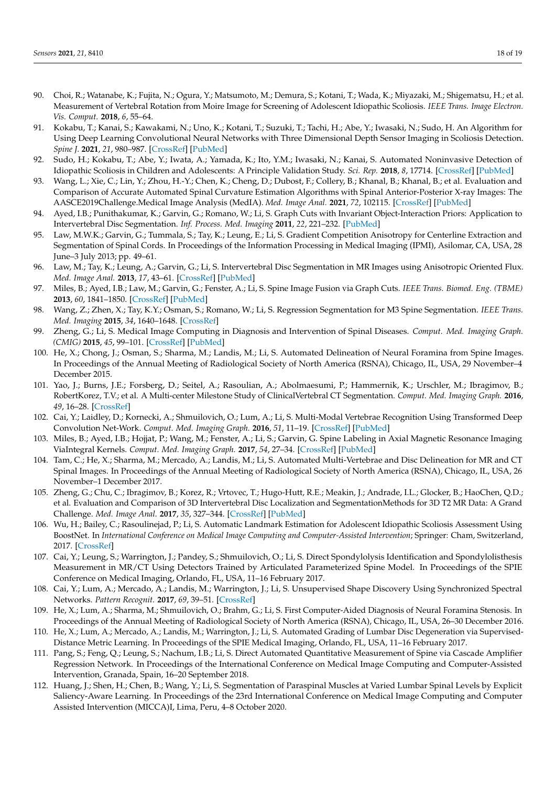- <span id="page-17-0"></span>90. Choi, R.; Watanabe, K.; Fujita, N.; Ogura, Y.; Matsumoto, M.; Demura, S.; Kotani, T.; Wada, K.; Miyazaki, M.; Shigematsu, H.; et al. Measurement of Vertebral Rotation from Moire Image for Screening of Adolescent Idiopathic Scoliosis. *IEEE Trans. Image Electron. Vis. Comput.* **2018**, *6*, 55–64.
- <span id="page-17-1"></span>91. Kokabu, T.; Kanai, S.; Kawakami, N.; Uno, K.; Kotani, T.; Suzuki, T.; Tachi, H.; Abe, Y.; Iwasaki, N.; Sudo, H. An Algorithm for Using Deep Learning Convolutional Neural Networks with Three Dimensional Depth Sensor Imaging in Scoliosis Detection. *Spine J.* **2021**, *21*, 980–987. [\[CrossRef\]](http://doi.org/10.1016/j.spinee.2021.01.022) [\[PubMed\]](http://www.ncbi.nlm.nih.gov/pubmed/33540125)
- <span id="page-17-2"></span>92. Sudo, H.; Kokabu, T.; Abe, Y.; Iwata, A.; Yamada, K.; Ito, Y.M.; Iwasaki, N.; Kanai, S. Automated Noninvasive Detection of Idiopathic Scoliosis in Children and Adolescents: A Principle Validation Study. *Sci. Rep.* **2018**, *8*, 17714. [\[CrossRef\]](http://doi.org/10.1038/s41598-018-36360-w) [\[PubMed\]](http://www.ncbi.nlm.nih.gov/pubmed/30532023)
- <span id="page-17-3"></span>93. Wang, L.; Xie, C.; Lin, Y.; Zhou, H.-Y.; Chen, K.; Cheng, D.; Dubost, F.; Collery, B.; Khanal, B.; Khanal, B.; et al. Evaluation and Comparison of Accurate Automated Spinal Curvature Estimation Algorithms with Spinal Anterior-Posterior X-ray Images: The AASCE2019Challenge.Medical Image Analysis (MedIA). *Med. Image Anal.* **2021**, *72*, 102115. [\[CrossRef\]](http://doi.org/10.1016/j.media.2021.102115) [\[PubMed\]](http://www.ncbi.nlm.nih.gov/pubmed/34134084)
- 94. Ayed, I.B.; Punithakumar, K.; Garvin, G.; Romano, W.; Li, S. Graph Cuts with Invariant Object-Interaction Priors: Application to Intervertebral Disc Segmentation. *Inf. Process. Med. Imaging* **2011**, *22*, 221–232. [\[PubMed\]](http://www.ncbi.nlm.nih.gov/pubmed/21761659)
- 95. Law, M.W.K.; Garvin, G.; Tummala, S.; Tay, K.; Leung, E.; Li, S. Gradient Competition Anisotropy for Centerline Extraction and Segmentation of Spinal Cords. In Proceedings of the Information Processing in Medical Imaging (IPMI), Asilomar, CA, USA, 28 June–3 July 2013; pp. 49–61.
- 96. Law, M.; Tay, K.; Leung, A.; Garvin, G.; Li, S. Intervertebral Disc Segmentation in MR Images using Anisotropic Oriented Flux. *Med. Image Anal.* **2013**, *17*, 43–61. [\[CrossRef\]](http://doi.org/10.1016/j.media.2012.06.006) [\[PubMed\]](http://www.ncbi.nlm.nih.gov/pubmed/23107642)
- 97. Miles, B.; Ayed, I.B.; Law, M.; Garvin, G.; Fenster, A.; Li, S. Spine Image Fusion via Graph Cuts. *IEEE Trans. Biomed. Eng. (TBME)* **2013**, *60*, 1841–1850. [\[CrossRef\]](http://doi.org/10.1109/TBME.2013.2243448) [\[PubMed\]](http://www.ncbi.nlm.nih.gov/pubmed/23372071)
- 98. Wang, Z.; Zhen, X.; Tay, K.Y.; Osman, S.; Romano, W.; Li, S. Regression Segmentation for M3 Spine Segmentation. *IEEE Trans. Med. Imaging* **2015**, *34*, 1640–1648. [\[CrossRef\]](http://doi.org/10.1109/TMI.2014.2365746)
- 99. Zheng, G.; Li, S. Medical Image Computing in Diagnosis and Intervention of Spinal Diseases. *Comput. Med. Imaging Graph. (CMIG)* **2015**, *45*, 99–101. [\[CrossRef\]](http://doi.org/10.1016/j.compmedimag.2015.08.006) [\[PubMed\]](http://www.ncbi.nlm.nih.gov/pubmed/26364266)
- 100. He, X.; Chong, J.; Osman, S.; Sharma, M.; Landis, M.; Li, S. Automated Delineation of Neural Foramina from Spine Images. In Proceedings of the Annual Meeting of Radiological Society of North America (RSNA), Chicago, IL, USA, 29 November–4 December 2015.
- 101. Yao, J.; Burns, J.E.; Forsberg, D.; Seitel, A.; Rasoulian, A.; Abolmaesumi, P.; Hammernik, K.; Urschler, M.; Ibragimov, B.; RobertKorez, T.V.; et al. A Multi-center Milestone Study of ClinicalVertebral CT Segmentation. *Comput. Med. Imaging Graph.* **2016**, *49*, 16–28. [\[CrossRef\]](http://doi.org/10.1016/j.compmedimag.2015.12.006)
- 102. Cai, Y.; Laidley, D.; Kornecki, A.; Shmuilovich, O.; Lum, A.; Li, S. Multi-Modal Vertebrae Recognition Using Transformed Deep Convolution Net-Work. *Comput. Med. Imaging Graph.* **2016**, *51*, 11–19. [\[CrossRef\]](http://doi.org/10.1016/j.compmedimag.2016.02.002) [\[PubMed\]](http://www.ncbi.nlm.nih.gov/pubmed/27104497)
- 103. Miles, B.; Ayed, I.B.; Hojjat, P.; Wang, M.; Fenster, A.; Li, S.; Garvin, G. Spine Labeling in Axial Magnetic Resonance Imaging ViaIntegral Kernels. *Comput. Med. Imaging Graph.* **2017**, *54*, 27–34. [\[CrossRef\]](http://doi.org/10.1016/j.compmedimag.2016.09.004) [\[PubMed\]](http://www.ncbi.nlm.nih.gov/pubmed/27743641)
- 104. Tam, C.; He, X.; Sharma, M.; Mercado, A.; Landis, M.; Li, S. Automated Multi-Vertebrae and Disc Delineation for MR and CT Spinal Images. In Proceedings of the Annual Meeting of Radiological Society of North America (RSNA), Chicago, IL, USA, 26 November–1 December 2017.
- 105. Zheng, G.; Chu, C.; Ibragimov, B.; Korez, R.; Vrtovec, T.; Hugo-Hutt, R.E.; Meakin, J.; Andrade, I.L.; Glocker, B.; HaoChen, Q.D.; et al. Evaluation and Comparison of 3D Intervertebral Disc Localization and SegmentationMethods for 3D T2 MR Data: A Grand Challenge. *Med. Image Anal.* **2017**, *35*, 327–344. [\[CrossRef\]](http://doi.org/10.1016/j.media.2016.08.005) [\[PubMed\]](http://www.ncbi.nlm.nih.gov/pubmed/27567734)
- 106. Wu, H.; Bailey, C.; Rasoulinejad, P.; Li, S. Automatic Landmark Estimation for Adolescent Idiopathic Scoliosis Assessment Using BoostNet. In *International Conference on Medical Image Computing and Computer-Assisted Intervention*; Springer: Cham, Switzerland, 2017. [\[CrossRef\]](http://doi.org/10.1007/978-3-319-66182-7_15)
- 107. Cai, Y.; Leung, S.; Warrington, J.; Pandey, S.; Shmuilovich, O.; Li, S. Direct Spondylolysis Identification and Spondylolisthesis Measurement in MR/CT Using Detectors Trained by Articulated Parameterized Spine Model. In Proceedings of the SPIE Conference on Medical Imaging, Orlando, FL, USA, 11–16 February 2017.
- 108. Cai, Y.; Lum, A.; Mercado, A.; Landis, M.; Warrington, J.; Li, S. Unsupervised Shape Discovery Using Synchronized Spectral Networks. *Pattern Recognit.* **2017**, *69*, 39–51. [\[CrossRef\]](http://doi.org/10.1016/j.patcog.2017.03.032)
- 109. He, X.; Lum, A.; Sharma, M.; Shmuilovich, O.; Brahm, G.; Li, S. First Computer-Aided Diagnosis of Neural Foramina Stenosis. In Proceedings of the Annual Meeting of Radiological Society of North America (RSNA), Chicago, IL, USA, 26–30 December 2016.
- 110. He, X.; Lum, A.; Mercado, A.; Landis, M.; Warrington, J.; Li, S. Automated Grading of Lumbar Disc Degeneration via Supervised-Distance Metric Learning. In Proceedings of the SPIE Medical Imaging, Orlando, FL, USA, 11–16 February 2017.
- <span id="page-17-5"></span>111. Pang, S.; Feng, Q.; Leung, S.; Nachum, I.B.; Li, S. Direct Automated Quantitative Measurement of Spine via Cascade Amplifier Regression Network. In Proceedings of the International Conference on Medical Image Computing and Computer-Assisted Intervention, Granada, Spain, 16–20 September 2018.
- <span id="page-17-4"></span>112. Huang, J.; Shen, H.; Chen, B.; Wang, Y.; Li, S. Segmentation of Paraspinal Muscles at Varied Lumbar Spinal Levels by Explicit Saliency-Aware Learning. In Proceedings of the 23rd International Conference on Medical Image Computing and Computer Assisted Intervention (MICCA)I, Lima, Peru, 4–8 October 2020.